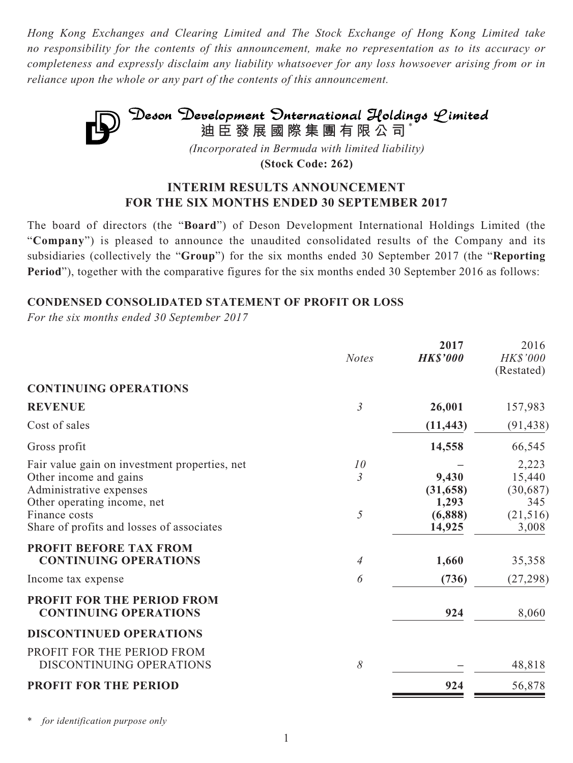*Hong Kong Exchanges and Clearing Limited and The Stock Exchange of Hong Kong Limited take no responsibility for the contents of this announcement, make no representation as to its accuracy or completeness and expressly disclaim any liability whatsoever for any loss howsoever arising from or in reliance upon the whole or any part of the contents of this announcement.*



**(Stock Code: 262)**

## **INTERIM RESULTS ANNOUNCEMENT FOR THE SIX MONTHS ENDED 30 SEPTEMBER 2017**

The board of directors (the "**Board**") of Deson Development International Holdings Limited (the "**Company**") is pleased to announce the unaudited consolidated results of the Company and its subsidiaries (collectively the "**Group**") for the six months ended 30 September 2017 (the "**Reporting Period**"), together with the comparative figures for the six months ended 30 September 2016 as follows:

## **CONDENSED CONSOLIDATED STATEMENT OF PROFIT OR LOSS**

*For the six months ended 30 September 2017*

|                                                                                                                                                                                                 | <b>Notes</b>              | 2017<br><b>HK\$'000</b>                          | 2016<br>HK\$'000<br>(Restated)                           |
|-------------------------------------------------------------------------------------------------------------------------------------------------------------------------------------------------|---------------------------|--------------------------------------------------|----------------------------------------------------------|
| <b>CONTINUING OPERATIONS</b>                                                                                                                                                                    |                           |                                                  |                                                          |
| <b>REVENUE</b>                                                                                                                                                                                  | $\mathfrak{Z}$            | 26,001                                           | 157,983                                                  |
| Cost of sales                                                                                                                                                                                   |                           | (11, 443)                                        | (91, 438)                                                |
| Gross profit                                                                                                                                                                                    |                           | 14,558                                           | 66,545                                                   |
| Fair value gain on investment properties, net<br>Other income and gains<br>Administrative expenses<br>Other operating income, net<br>Finance costs<br>Share of profits and losses of associates | 10<br>$\mathfrak{Z}$<br>5 | 9,430<br>(31, 658)<br>1,293<br>(6,888)<br>14,925 | 2,223<br>15,440<br>(30,687)<br>345<br>(21, 516)<br>3,008 |
| <b>PROFIT BEFORE TAX FROM</b><br><b>CONTINUING OPERATIONS</b>                                                                                                                                   | $\overline{4}$            | 1,660                                            | 35,358                                                   |
| Income tax expense                                                                                                                                                                              | 6                         | (736)                                            | (27, 298)                                                |
| <b>PROFIT FOR THE PERIOD FROM</b><br><b>CONTINUING OPERATIONS</b>                                                                                                                               |                           | 924                                              | 8,060                                                    |
| <b>DISCONTINUED OPERATIONS</b>                                                                                                                                                                  |                           |                                                  |                                                          |
| PROFIT FOR THE PERIOD FROM<br>DISCONTINUING OPERATIONS                                                                                                                                          | 8                         |                                                  | 48,818                                                   |
| <b>PROFIT FOR THE PERIOD</b>                                                                                                                                                                    |                           | 924                                              | 56,878                                                   |
|                                                                                                                                                                                                 |                           |                                                  |                                                          |

for *identification purpose only*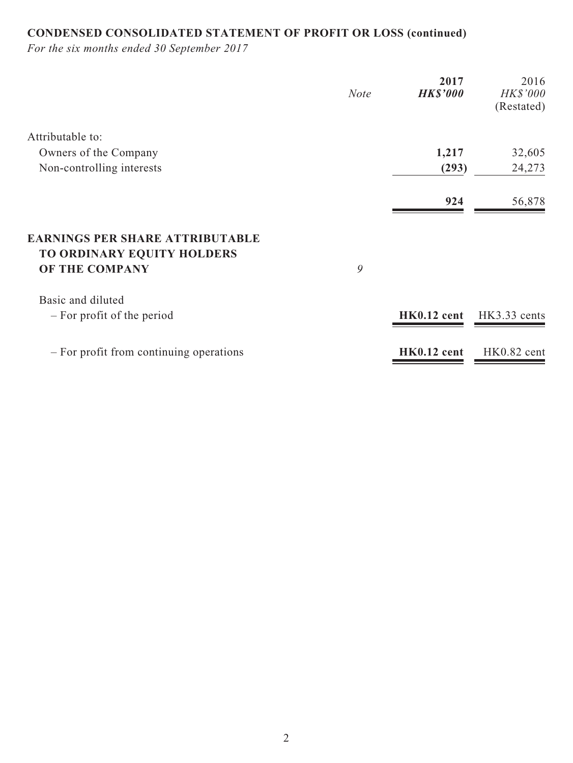# **CONDENSED CONSOLIDATED STATEMENT OF PROFIT OR LOSS (continued)**

*For the six months ended 30 September 2017*

|                                                                      | <b>Note</b> | 2017<br><b>HK\$'000</b> | 2016<br>HK\$'000<br>(Restated) |
|----------------------------------------------------------------------|-------------|-------------------------|--------------------------------|
| Attributable to:                                                     |             |                         |                                |
| Owners of the Company                                                |             | 1,217                   | 32,605                         |
| Non-controlling interests                                            |             | (293)                   | 24,273                         |
|                                                                      |             | 924                     | 56,878                         |
| <b>EARNINGS PER SHARE ATTRIBUTABLE</b><br>TO ORDINARY EQUITY HOLDERS |             |                         |                                |
| OF THE COMPANY                                                       | 9           |                         |                                |
| Basic and diluted                                                    |             |                         |                                |
| - For profit of the period                                           |             | HK0.12 cent             | HK3.33 cents                   |
| - For profit from continuing operations                              |             | HK0.12 cent             | HK0.82 cent                    |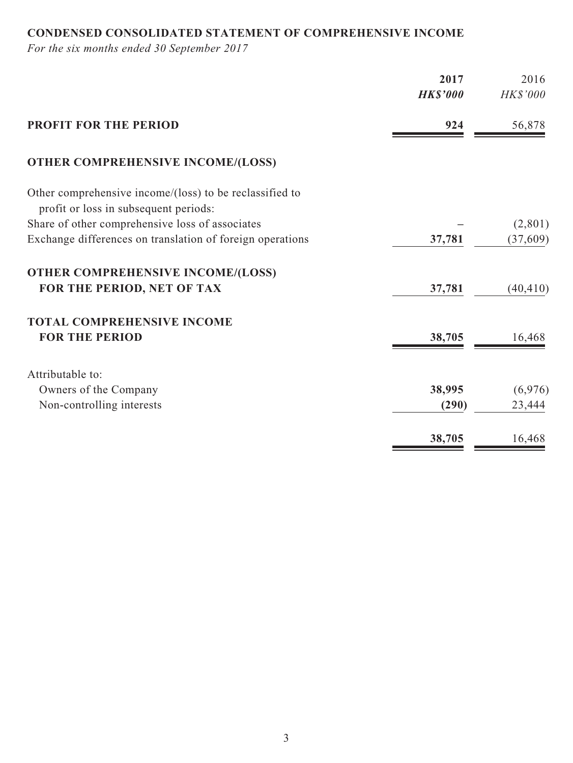## **CONDENSED CONSOLIDATED STATEMENT OF COMPREHENSIVE INCOME**

*For the six months ended 30 September 2017*

|                                                                                                  | 2017<br><b>HK\$'000</b> | 2016<br>HK\$'000 |
|--------------------------------------------------------------------------------------------------|-------------------------|------------------|
| <b>PROFIT FOR THE PERIOD</b>                                                                     | 924                     | 56,878           |
| <b>OTHER COMPREHENSIVE INCOME/(LOSS)</b>                                                         |                         |                  |
| Other comprehensive income/(loss) to be reclassified to<br>profit or loss in subsequent periods: |                         |                  |
| Share of other comprehensive loss of associates                                                  |                         | (2,801)          |
| Exchange differences on translation of foreign operations                                        | 37,781                  | (37,609)         |
| <b>OTHER COMPREHENSIVE INCOME/(LOSS)</b>                                                         |                         |                  |
| FOR THE PERIOD, NET OF TAX                                                                       | 37,781                  | (40, 410)        |
| <b>TOTAL COMPREHENSIVE INCOME</b>                                                                |                         |                  |
| <b>FOR THE PERIOD</b>                                                                            | 38,705                  | 16,468           |
| Attributable to:                                                                                 |                         |                  |
| Owners of the Company                                                                            | 38,995                  | (6,976)          |
| Non-controlling interests                                                                        | (290)                   | 23,444           |
|                                                                                                  | 38,705                  | 16,468           |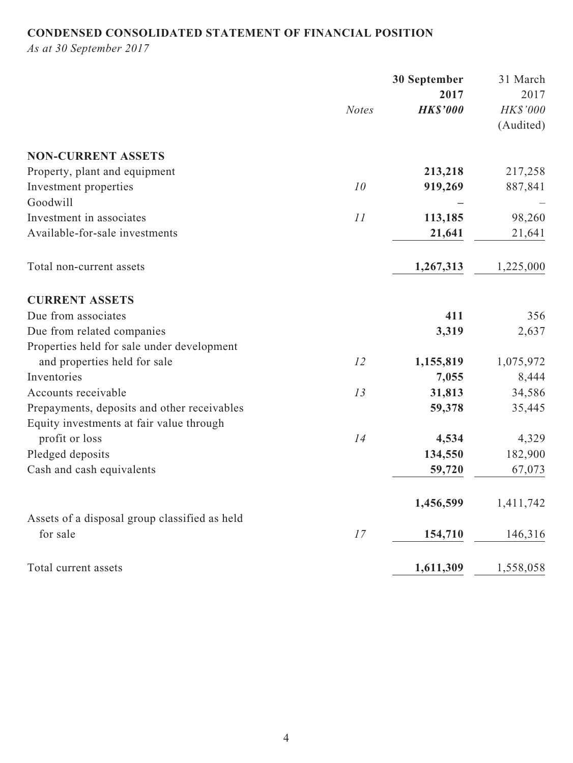## **CONDENSED CONSOLIDATED STATEMENT OF FINANCIAL POSITION**

*As at 30 September 2017*

|                                               |              | 30 September    | 31 March  |
|-----------------------------------------------|--------------|-----------------|-----------|
|                                               |              | 2017            | 2017      |
|                                               | <b>Notes</b> | <b>HK\$'000</b> | HK\$'000  |
|                                               |              |                 | (Audited) |
| <b>NON-CURRENT ASSETS</b>                     |              |                 |           |
| Property, plant and equipment                 |              | 213,218         | 217,258   |
| Investment properties                         | 10           | 919,269         | 887,841   |
| Goodwill                                      |              |                 |           |
| Investment in associates                      | 11           | 113,185         | 98,260    |
| Available-for-sale investments                |              | 21,641          | 21,641    |
| Total non-current assets                      |              | 1,267,313       | 1,225,000 |
| <b>CURRENT ASSETS</b>                         |              |                 |           |
| Due from associates                           |              | 411             | 356       |
| Due from related companies                    |              | 3,319           | 2,637     |
| Properties held for sale under development    |              |                 |           |
| and properties held for sale                  | 12           | 1,155,819       | 1,075,972 |
| Inventories                                   |              | 7,055           | 8,444     |
| Accounts receivable                           | 13           | 31,813          | 34,586    |
| Prepayments, deposits and other receivables   |              | 59,378          | 35,445    |
| Equity investments at fair value through      |              |                 |           |
| profit or loss                                | 14           | 4,534           | 4,329     |
| Pledged deposits                              |              | 134,550         | 182,900   |
| Cash and cash equivalents                     |              | 59,720          | 67,073    |
|                                               |              | 1,456,599       | 1,411,742 |
| Assets of a disposal group classified as held |              |                 |           |
| for sale                                      | 17           | 154,710         | 146,316   |
| Total current assets                          |              | 1,611,309       | 1,558,058 |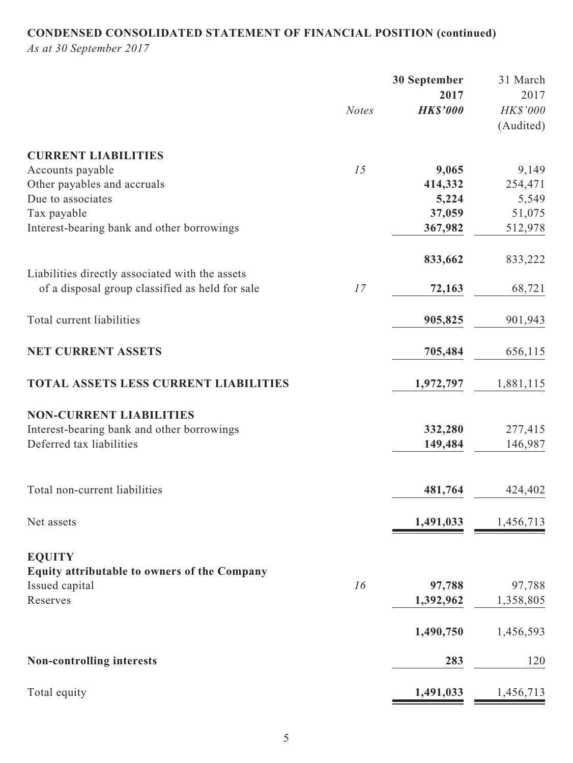# **CONDENSED CONSOLIDATED STATEMENT OF FINANCIAL POSITION (continued)**

*As at 30 September 2017*

|                                                 |              | 30 September    | 31 March  |
|-------------------------------------------------|--------------|-----------------|-----------|
|                                                 |              | 2017            | 2017      |
|                                                 | <b>Notes</b> | <b>HK\$'000</b> | HK\$'000  |
|                                                 |              |                 | (Audited) |
| <b>CURRENT LIABILITIES</b>                      |              |                 |           |
| Accounts payable                                | 15           | 9,065           | 9,149     |
| Other payables and accruals                     |              | 414,332         | 254,471   |
| Due to associates                               |              | 5,224           | 5,549     |
| Tax payable                                     |              | 37,059          | 51,075    |
| Interest-bearing bank and other borrowings      |              | 367,982         | 512,978   |
|                                                 |              | 833,662         | 833,222   |
| Liabilities directly associated with the assets |              |                 |           |
| of a disposal group classified as held for sale | 17           | 72,163          | 68,721    |
| Total current liabilities                       |              | 905,825         | 901,943   |
|                                                 |              |                 |           |
| <b>NET CURRENT ASSETS</b>                       |              | 705,484         | 656,115   |
| <b>TOTAL ASSETS LESS CURRENT LIABILITIES</b>    |              | 1,972,797       | 1,881,115 |
| <b>NON-CURRENT LIABILITIES</b>                  |              |                 |           |
| Interest-bearing bank and other borrowings      |              | 332,280         | 277,415   |
| Deferred tax liabilities                        |              | 149,484         | 146,987   |
|                                                 |              |                 |           |
| Total non-current liabilities                   |              | 481,764         | 424,402   |
| Net assets                                      |              | 1,491,033       | 1,456,713 |
|                                                 |              |                 |           |
| <b>EQUITY</b>                                   |              |                 |           |
| Equity attributable to owners of the Company    |              |                 |           |
| Issued capital                                  | 16           | 97,788          | 97,788    |
| Reserves                                        |              | 1,392,962       | 1,358,805 |
|                                                 |              | 1,490,750       | 1,456,593 |
| <b>Non-controlling interests</b>                |              | 283             | 120       |
|                                                 |              |                 |           |
| Total equity                                    |              | 1,491,033       | 1,456,713 |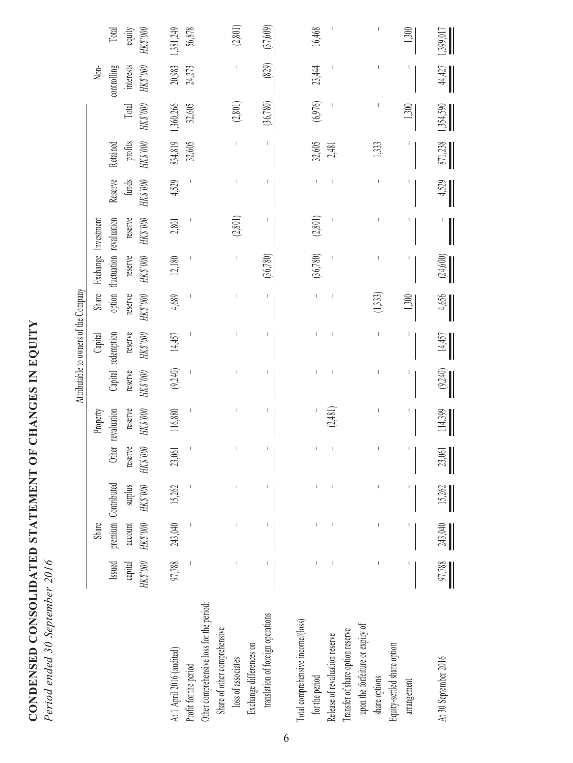| CONDENSED CONSOLIDATED STATEMENT OF CHANGES IN EQUITY |                          |
|-------------------------------------------------------|--------------------------|
|                                                       |                          |
|                                                       |                          |
|                                                       | 0.707<br>$\tilde{\zeta}$ |
|                                                       | O(1)                     |
|                                                       | .<br>ร                   |
|                                                       |                          |

| <b>MAQANT</b><br>i              |
|---------------------------------|
| ₹                               |
| $\frac{1}{2}$                   |
| Γ                               |
| $A \land A$ ournerg of the<br>ź |
|                                 |
| į                               |
|                                 |
|                                 |

|                                                                          |                                                                                                                                                                                                                                                                                                                                                                                                                |                                                                                                                                                                                                                                                                                                                                                                                                                |                     |                 |                   |            |                    | Attributable to owners of the Company |                         |          |         |          |           |             |           |
|--------------------------------------------------------------------------|----------------------------------------------------------------------------------------------------------------------------------------------------------------------------------------------------------------------------------------------------------------------------------------------------------------------------------------------------------------------------------------------------------------|----------------------------------------------------------------------------------------------------------------------------------------------------------------------------------------------------------------------------------------------------------------------------------------------------------------------------------------------------------------------------------------------------------------|---------------------|-----------------|-------------------|------------|--------------------|---------------------------------------|-------------------------|----------|---------|----------|-----------|-------------|-----------|
|                                                                          |                                                                                                                                                                                                                                                                                                                                                                                                                | Share                                                                                                                                                                                                                                                                                                                                                                                                          |                     |                 | Property          |            | Capital            | Share                                 | Exchange Investment     |          |         |          |           | Non-        |           |
|                                                                          | Issued                                                                                                                                                                                                                                                                                                                                                                                                         |                                                                                                                                                                                                                                                                                                                                                                                                                | premium Contributed |                 | Other revaluation |            | Capital redemption | option                                | fluctuation revaluation |          | Reserve | Retained |           | controlling | Total     |
|                                                                          | capital                                                                                                                                                                                                                                                                                                                                                                                                        | account                                                                                                                                                                                                                                                                                                                                                                                                        | surplus             | reserve         | reserve           | reserve    | reserve            | reserve                               | reserve                 | reserve  | funds   | profits  | Total     | interests   | equity    |
|                                                                          | $000,$ SZH                                                                                                                                                                                                                                                                                                                                                                                                     | HK\$'000                                                                                                                                                                                                                                                                                                                                                                                                       | ${\rm HK3~000}$     | ${\rm HK3'000}$ | HK\$'000          | $000,$ SXH | <b>OO0. SZH</b>    | HK\$'000                              | $000,$ SZH              | HK8'000  | HK8'000 | HK8'000  | HKS'000   | HKS'000     | HK\$'000  |
| At 1 April 2016 (audited)                                                | 97,788                                                                                                                                                                                                                                                                                                                                                                                                         | 243,040                                                                                                                                                                                                                                                                                                                                                                                                        | 15,262              | 23,061          | 116,880           | (9, 240)   | 14,457             | 4,689                                 | 12,180                  | 2,801    | 4,529   | 834,819  | 1,360,266 | 20,983      | 1,381,249 |
| Profit for the period                                                    |                                                                                                                                                                                                                                                                                                                                                                                                                |                                                                                                                                                                                                                                                                                                                                                                                                                |                     |                 |                   |            |                    |                                       |                         |          |         | 32,605   | 32,605    | 24,273      | 56,878    |
| Other comprehensive loss for the period:<br>Share of other comprehensive |                                                                                                                                                                                                                                                                                                                                                                                                                |                                                                                                                                                                                                                                                                                                                                                                                                                |                     |                 |                   |            |                    |                                       |                         |          |         |          |           |             |           |
| loss of associates                                                       | $\begin{array}{c} \rule{0pt}{2ex} \rule{0pt}{2ex} \rule{0pt}{2ex} \rule{0pt}{2ex} \rule{0pt}{2ex} \rule{0pt}{2ex} \rule{0pt}{2ex} \rule{0pt}{2ex} \rule{0pt}{2ex} \rule{0pt}{2ex} \rule{0pt}{2ex} \rule{0pt}{2ex} \rule{0pt}{2ex} \rule{0pt}{2ex} \rule{0pt}{2ex} \rule{0pt}{2ex} \rule{0pt}{2ex} \rule{0pt}{2ex} \rule{0pt}{2ex} \rule{0pt}{2ex} \rule{0pt}{2ex} \rule{0pt}{2ex} \rule{0pt}{2ex} \rule{0pt}{$ | $\begin{array}{c} \rule{0pt}{2ex} \rule{0pt}{2ex} \rule{0pt}{2ex} \rule{0pt}{2ex} \rule{0pt}{2ex} \rule{0pt}{2ex} \rule{0pt}{2ex} \rule{0pt}{2ex} \rule{0pt}{2ex} \rule{0pt}{2ex} \rule{0pt}{2ex} \rule{0pt}{2ex} \rule{0pt}{2ex} \rule{0pt}{2ex} \rule{0pt}{2ex} \rule{0pt}{2ex} \rule{0pt}{2ex} \rule{0pt}{2ex} \rule{0pt}{2ex} \rule{0pt}{2ex} \rule{0pt}{2ex} \rule{0pt}{2ex} \rule{0pt}{2ex} \rule{0pt}{$ | $\,$ $\,$           |                 |                   |            |                    |                                       |                         | (2,801)  |         |          | (2, 801)  |             | (2,801)   |
| Exchange differences on                                                  |                                                                                                                                                                                                                                                                                                                                                                                                                |                                                                                                                                                                                                                                                                                                                                                                                                                |                     |                 |                   |            |                    |                                       |                         |          |         |          |           |             |           |
| translation of foreign operations                                        | $\begin{array}{c} \rule{0pt}{2ex} \rule{0pt}{2ex} \rule{0pt}{2ex} \rule{0pt}{2ex} \rule{0pt}{2ex} \rule{0pt}{2ex} \rule{0pt}{2ex} \rule{0pt}{2ex} \rule{0pt}{2ex} \rule{0pt}{2ex} \rule{0pt}{2ex} \rule{0pt}{2ex} \rule{0pt}{2ex} \rule{0pt}{2ex} \rule{0pt}{2ex} \rule{0pt}{2ex} \rule{0pt}{2ex} \rule{0pt}{2ex} \rule{0pt}{2ex} \rule{0pt}{2ex} \rule{0pt}{2ex} \rule{0pt}{2ex} \rule{0pt}{2ex} \rule{0pt}{$ | $\begin{array}{c} \rule{0pt}{2ex} \rule{0pt}{2ex} \rule{0pt}{2ex} \rule{0pt}{2ex} \rule{0pt}{2ex} \rule{0pt}{2ex} \rule{0pt}{2ex} \rule{0pt}{2ex} \rule{0pt}{2ex} \rule{0pt}{2ex} \rule{0pt}{2ex} \rule{0pt}{2ex} \rule{0pt}{2ex} \rule{0pt}{2ex} \rule{0pt}{2ex} \rule{0pt}{2ex} \rule{0pt}{2ex} \rule{0pt}{2ex} \rule{0pt}{2ex} \rule{0pt}{2ex} \rule{0pt}{2ex} \rule{0pt}{2ex} \rule{0pt}{2ex} \rule{0pt}{$ | $\mid$              |                 |                   |            | T                  | L                                     | (36,780)                |          |         | L        | (36,780)  | (829)       | (37,609)  |
| Total comprehensive income/(loss)                                        |                                                                                                                                                                                                                                                                                                                                                                                                                |                                                                                                                                                                                                                                                                                                                                                                                                                |                     |                 |                   |            |                    |                                       |                         |          |         |          |           |             |           |
| for the period                                                           |                                                                                                                                                                                                                                                                                                                                                                                                                | $\mathsf I$                                                                                                                                                                                                                                                                                                                                                                                                    | $\mathsf I$         |                 |                   |            |                    |                                       | (36,780)                | (2, 801) |         | 32,605   | (6,976)   | 23,444      | 16,468    |
| Release of revaluation reserve                                           |                                                                                                                                                                                                                                                                                                                                                                                                                | $\mathsf I$                                                                                                                                                                                                                                                                                                                                                                                                    | $\,$ l              |                 | (2,481)           |            |                    |                                       |                         |          |         | 2,481    |           |             |           |
| upon the forfeiture or expiry of<br>Transfer of share option reserve     |                                                                                                                                                                                                                                                                                                                                                                                                                |                                                                                                                                                                                                                                                                                                                                                                                                                |                     |                 |                   |            |                    |                                       |                         |          |         |          |           |             |           |
| share options                                                            |                                                                                                                                                                                                                                                                                                                                                                                                                | $\mid$                                                                                                                                                                                                                                                                                                                                                                                                         | $\mid$              |                 |                   |            |                    | (1,333)                               |                         |          |         | 1,333    |           |             | $\,$ $\,$ |
| Equity-settled share option                                              |                                                                                                                                                                                                                                                                                                                                                                                                                |                                                                                                                                                                                                                                                                                                                                                                                                                |                     |                 |                   |            |                    |                                       |                         |          |         |          |           |             |           |
| arrangement                                                              |                                                                                                                                                                                                                                                                                                                                                                                                                |                                                                                                                                                                                                                                                                                                                                                                                                                |                     |                 |                   |            |                    | 1,300                                 |                         |          |         |          | 1,300     |             | 1,300     |
| At 30 September 2016                                                     | 97,788                                                                                                                                                                                                                                                                                                                                                                                                         | 243,040                                                                                                                                                                                                                                                                                                                                                                                                        | 15,262              | 23,061          | 114,399           | (9,240)    | 14,457             | 4,656                                 | (24, 600)               |          | 4,529   | 871,238  | 1,354,590 | 44,427      | 1,399,017 |

6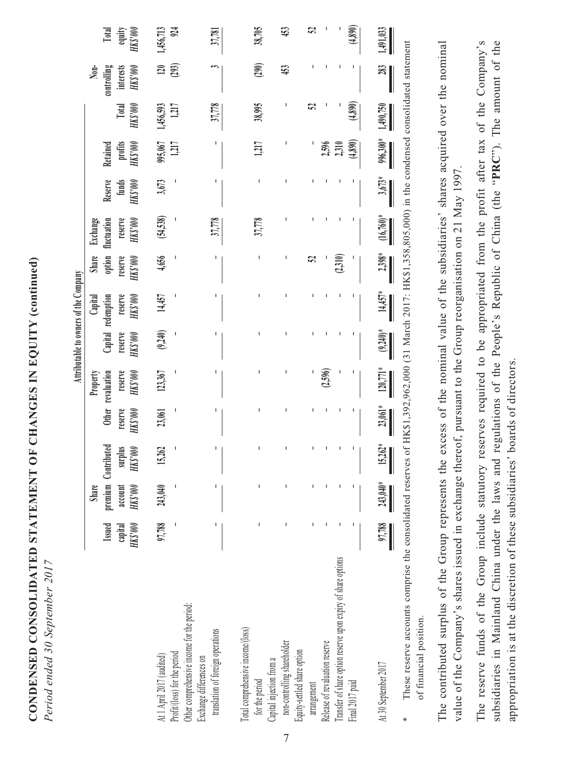CONDENSED CONSOLIDATED STATEMENT OF CHANGES IN EQUITY (continued) **CONDENSED CONSOLIDATED STATEMENT OF CHANGES IN EQUITY (continued)** Period ended 30 September 2017 *Period ended 30 September 2017*

|                                                                                                                                                                      |                               |                                    |                                            |                    |                                                            |                               | Attributable to owners of the Company                    |                                                    |                                                                                                 |                                    |                                     |                    |                                              |                             |
|----------------------------------------------------------------------------------------------------------------------------------------------------------------------|-------------------------------|------------------------------------|--------------------------------------------|--------------------|------------------------------------------------------------|-------------------------------|----------------------------------------------------------|----------------------------------------------------|-------------------------------------------------------------------------------------------------|------------------------------------|-------------------------------------|--------------------|----------------------------------------------|-----------------------------|
|                                                                                                                                                                      | Issued<br>HK\$'000<br>capital | <b>HKS'000</b><br>Share<br>account | premium Contributed<br>surplus<br>HK\$'000 | reserve<br>HKS'000 | reserve<br>$\rm{HK}3.000$<br>Other revaluation<br>Property | reserve<br>$\rm{M}\rm{K}2100$ | reserve<br>Capital redemption<br>$\rm HK3000$<br>Capital | option<br><b>Share</b><br>reserve<br>$000.5\rm{M}$ | reserve<br>fluctuation<br><b>OOGS XH</b><br>Exchange                                            | Reserve<br>funds<br><b>HKS'000</b> | $\rm MK3000$<br>profits<br>Retained | Total<br>HKS'000   | controlling<br>interests<br>HK\$'000<br>Non- | equity<br>HK\$'000<br>Total |
| Other comprehensive income for the period:<br>Profit/(loss) for the period<br>At 1 April 2017 (audited)                                                              | 97,788                        | 243,040                            | 15,262                                     | 23,061             | 123,367                                                    | (9, 240)                      | 14,457                                                   | 4,656                                              | (54,538)                                                                                        | 3,673                              | 1,217<br>995,067                    | 1,217<br>1,456,593 | (293)<br>120                                 | 1,456,713<br>924            |
| translation of foreign operations<br>Exchange differences on                                                                                                         |                               |                                    | I                                          |                    |                                                            |                               |                                                          | т                                                  | 37,778                                                                                          |                                    |                                     | 37,778             |                                              | 37,781                      |
| Total comprehensive income/(loss)<br>Capital injection from a<br>for the period                                                                                      |                               |                                    |                                            |                    |                                                            | ı                             |                                                          | ı                                                  | 37,778                                                                                          |                                    | 1,217                               | 38,995             | (290)                                        | 38,705                      |
| non-controlling shareholder<br>Equity-settled share option                                                                                                           |                               |                                    |                                            |                    |                                                            |                               |                                                          | т                                                  |                                                                                                 |                                    |                                     |                    | 453                                          | 453                         |
| arrangement                                                                                                                                                          |                               |                                    |                                            |                    |                                                            |                               |                                                          | S,                                                 |                                                                                                 |                                    |                                     | S,                 |                                              | 52                          |
| Transfer of share option reserve upon expiry of share options<br>Release of revaluation reserve                                                                      |                               |                                    |                                            |                    | (2,596)                                                    |                               |                                                          | (2,310)                                            |                                                                                                 |                                    | 2,596<br>2,310                      |                    |                                              |                             |
| Final 2017 paid                                                                                                                                                      |                               |                                    | ı                                          |                    |                                                            |                               |                                                          |                                                    |                                                                                                 |                                    | (4,890)                             | (4,890)            | ı                                            | (4,890)                     |
| At 30 September 2017                                                                                                                                                 | 97,788                        | $\frac{243,040^{*}}{2}$            | $\frac{15,262^*}{\cdot}$                   | $\frac{23,061}{8}$ | $120,771*$                                                 | $(9,240)*$                    | $\frac{14,457^*}{2}$                                     | $\frac{2,398^*}{2}$                                | $(16,760)*$                                                                                     | $\frac{3,673^*}{2}$                | $\frac{996,300*}{2}$                | 1,490,750          | $\frac{283}{2}$                              | 1,491,033                   |
| These reserve accounts comprise the consolidated reserves<br>of financial position.                                                                                  |                               |                                    |                                            |                    |                                                            |                               |                                                          |                                                    | of HK\$1,392,962,000 (31 March 2017: HK\$1,358,805,000) in the condensed consolidated statement |                                    |                                     |                    |                                              |                             |
| value of the Company's shares issued in exchange thereof, pursuant to the Group reorganisation on 21 May 1997<br>The contributed surplus of the Group represents the |                               |                                    |                                            |                    |                                                            |                               |                                                          |                                                    | excess of the nominal value of the subsidiaries' shares acquired over the nominal               |                                    |                                     |                    |                                              |                             |

7

The reserve funds of the Group include statutory reserves required to be appropriated from the profit after tax of the Company's The reserve funds of the Group include statutory reserves required to be appropriated from the profit after tax of the Company's subsidiaries in Mainland China under the laws and regulations of the People's Republic of China (the "PRC"). The amount of the subsidiaries in Mainland China under the laws and regulations of the People's Republic of China (the "**PRC**"). The amount of the appropriation is at the discretion of these subsidiaries' boards of directors. appropriation is at the discretion of these subsidiaries' boards of directors.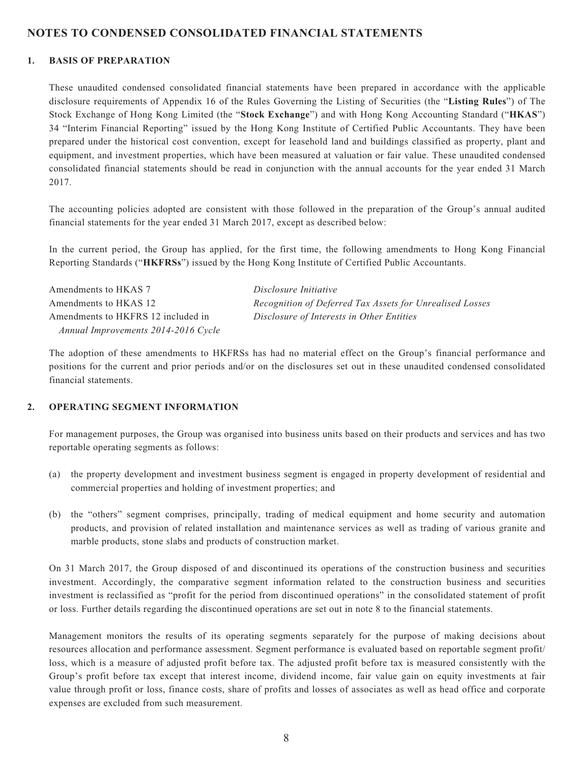### **NOTES TO CONDENSED CONSOLIDATED FINANCIAL STATEMENTS**

#### **1. BASIS OF PREPARATION**

These unaudited condensed consolidated financial statements have been prepared in accordance with the applicable disclosure requirements of Appendix 16 of the Rules Governing the Listing of Securities (the "**Listing Rules**") of The Stock Exchange of Hong Kong Limited (the "**Stock Exchange**") and with Hong Kong Accounting Standard ("**HKAS**") 34 "Interim Financial Reporting" issued by the Hong Kong Institute of Certified Public Accountants. They have been prepared under the historical cost convention, except for leasehold land and buildings classified as property, plant and equipment, and investment properties, which have been measured at valuation or fair value. These unaudited condensed consolidated financial statements should be read in conjunction with the annual accounts for the year ended 31 March 2017.

The accounting policies adopted are consistent with those followed in the preparation of the Group's annual audited financial statements for the year ended 31 March 2017, except as described below:

In the current period, the Group has applied, for the first time, the following amendments to Hong Kong Financial Reporting Standards ("**HKFRSs**") issued by the Hong Kong Institute of Certified Public Accountants.

Amendments to HKAS 7 *Disclosure Initiative* Amendments to HKFRS 12 included in  *Annual Improvements 2014-2016 Cycle*

Amendments to HKAS 12 *Recognition of Deferred Tax Assets for Unrealised Losses Disclosure of Interests in Other Entities*

The adoption of these amendments to HKFRSs has had no material effect on the Group's financial performance and positions for the current and prior periods and/or on the disclosures set out in these unaudited condensed consolidated financial statements.

### **2. OPERATING SEGMENT INFORMATION**

For management purposes, the Group was organised into business units based on their products and services and has two reportable operating segments as follows:

- (a) the property development and investment business segment is engaged in property development of residential and commercial properties and holding of investment properties; and
- (b) the "others" segment comprises, principally, trading of medical equipment and home security and automation products, and provision of related installation and maintenance services as well as trading of various granite and marble products, stone slabs and products of construction market.

On 31 March 2017, the Group disposed of and discontinued its operations of the construction business and securities investment. Accordingly, the comparative segment information related to the construction business and securities investment is reclassified as "profit for the period from discontinued operations" in the consolidated statement of profit or loss. Further details regarding the discontinued operations are set out in note 8 to the financial statements.

Management monitors the results of its operating segments separately for the purpose of making decisions about resources allocation and performance assessment. Segment performance is evaluated based on reportable segment profit/ loss, which is a measure of adjusted profit before tax. The adjusted profit before tax is measured consistently with the Group's profit before tax except that interest income, dividend income, fair value gain on equity investments at fair value through profit or loss, finance costs, share of profits and losses of associates as well as head office and corporate expenses are excluded from such measurement.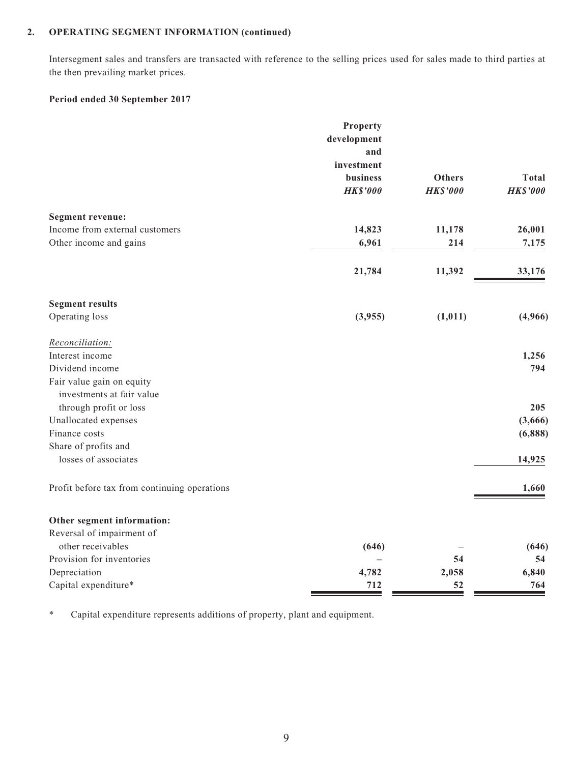### **2. OPERATING SEGMENT INFORMATION (continued)**

Intersegment sales and transfers are transacted with reference to the selling prices used for sales made to third parties at the then prevailing market prices.

#### **Period ended 30 September 2017**

|                                              | Property        |                 |                 |
|----------------------------------------------|-----------------|-----------------|-----------------|
|                                              | development     |                 |                 |
|                                              | and             |                 |                 |
|                                              | investment      |                 |                 |
|                                              | business        | <b>Others</b>   | <b>Total</b>    |
|                                              | <b>HK\$'000</b> | <b>HK\$'000</b> | <b>HK\$'000</b> |
| <b>Segment revenue:</b>                      |                 |                 |                 |
| Income from external customers               | 14,823          | 11,178          | 26,001          |
| Other income and gains                       | 6,961           | 214             | 7,175           |
|                                              |                 |                 |                 |
|                                              | 21,784          | 11,392          | 33,176          |
| <b>Segment results</b>                       |                 |                 |                 |
| Operating loss                               | (3,955)         | (1, 011)        | (4,966)         |
| Reconciliation:                              |                 |                 |                 |
| Interest income                              |                 |                 | 1,256           |
| Dividend income                              |                 |                 | 794             |
| Fair value gain on equity                    |                 |                 |                 |
| investments at fair value                    |                 |                 |                 |
| through profit or loss                       |                 |                 | 205             |
| Unallocated expenses                         |                 |                 | (3,666)         |
| Finance costs                                |                 |                 | (6,888)         |
| Share of profits and                         |                 |                 |                 |
| losses of associates                         |                 |                 | 14,925          |
| Profit before tax from continuing operations |                 |                 | 1,660           |
| Other segment information:                   |                 |                 |                 |
| Reversal of impairment of                    |                 |                 |                 |
| other receivables                            | (646)           |                 | (646)           |
| Provision for inventories                    |                 | 54              | 54              |
| Depreciation                                 | 4,782           | 2,058           | 6,840           |
| Capital expenditure*                         | 712             | 52              | 764             |

\* Capital expenditure represents additions of property, plant and equipment.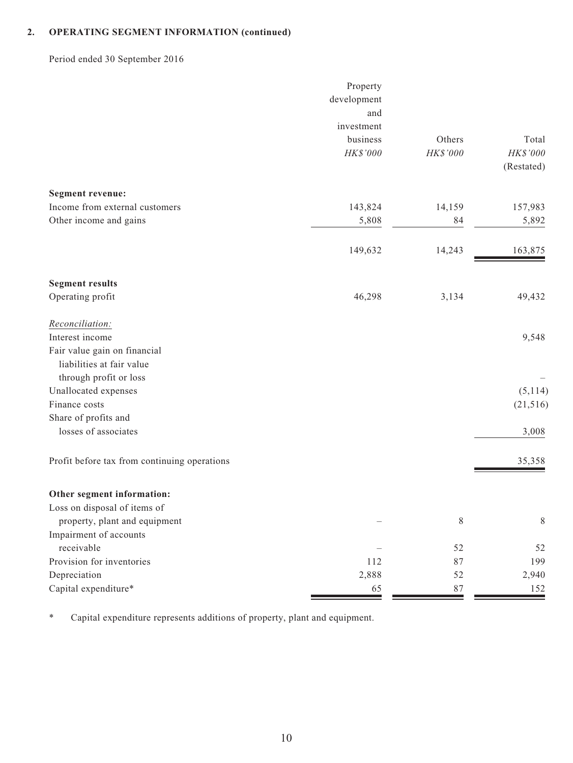### **2. OPERATING SEGMENT INFORMATION (continued)**

Period ended 30 September 2016

|                                              | Property    |           |            |
|----------------------------------------------|-------------|-----------|------------|
|                                              | development |           |            |
|                                              | and         |           |            |
|                                              | investment  |           |            |
|                                              | business    | Others    | Total      |
|                                              | HK\$'000    | HK\$'000  | HK\$'000   |
|                                              |             |           | (Restated) |
| <b>Segment revenue:</b>                      |             |           |            |
| Income from external customers               | 143,824     | 14,159    | 157,983    |
| Other income and gains                       | 5,808       | 84        | 5,892      |
|                                              |             |           |            |
|                                              | 149,632     | 14,243    | 163,875    |
| <b>Segment results</b>                       |             |           |            |
| Operating profit                             | 46,298      | 3,134     | 49,432     |
| Reconciliation:                              |             |           |            |
| Interest income                              |             |           | 9,548      |
| Fair value gain on financial                 |             |           |            |
| liabilities at fair value                    |             |           |            |
| through profit or loss                       |             |           |            |
| Unallocated expenses                         |             |           | (5, 114)   |
| Finance costs                                |             |           | (21, 516)  |
| Share of profits and                         |             |           |            |
| losses of associates                         |             |           | 3,008      |
| Profit before tax from continuing operations |             |           | 35,358     |
| Other segment information:                   |             |           |            |
| Loss on disposal of items of                 |             |           |            |
| property, plant and equipment                |             | $\,$ $\,$ | $\,$ $\,$  |
| Impairment of accounts                       |             |           |            |
| receivable                                   |             | 52        | 52         |
| Provision for inventories                    | 112         | 87        | 199        |
| Depreciation                                 | 2,888       | 52        | 2,940      |
| Capital expenditure*                         | 65          | $87\,$    | 152        |

\* Capital expenditure represents additions of property, plant and equipment.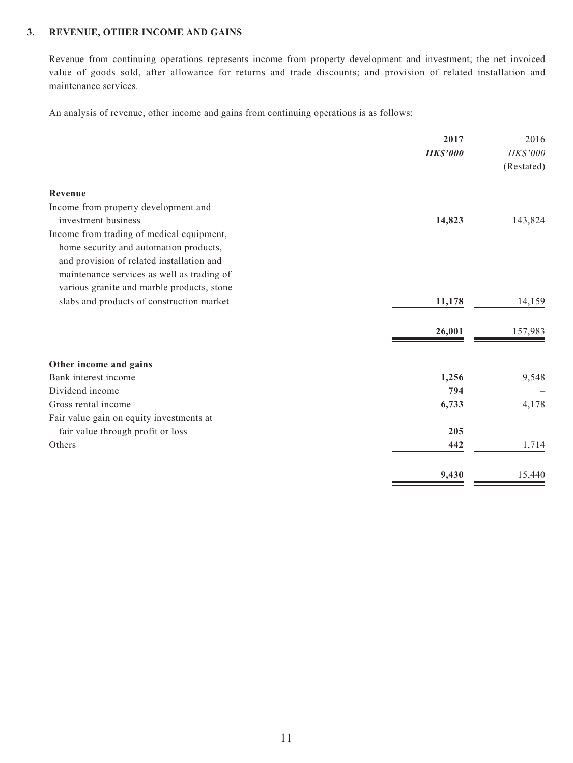### **3. REVENUE, OTHER INCOME AND GAINS**

Revenue from continuing operations represents income from property development and investment; the net invoiced value of goods sold, after allowance for returns and trade discounts; and provision of related installation and maintenance services.

An analysis of revenue, other income and gains from continuing operations is as follows:

|                                            | 2017<br><b>HK\$'000</b> | 2016<br>HK\$'000<br>(Restated) |
|--------------------------------------------|-------------------------|--------------------------------|
| Revenue                                    |                         |                                |
| Income from property development and       |                         |                                |
| investment business                        | 14,823                  | 143,824                        |
| Income from trading of medical equipment,  |                         |                                |
| home security and automation products,     |                         |                                |
| and provision of related installation and  |                         |                                |
| maintenance services as well as trading of |                         |                                |
| various granite and marble products, stone |                         |                                |
| slabs and products of construction market  | 11,178                  | 14,159                         |
|                                            | 26,001                  | 157,983                        |
| Other income and gains                     |                         |                                |
| Bank interest income                       | 1,256                   | 9,548                          |
| Dividend income                            | 794                     |                                |
| Gross rental income                        | 6,733                   | 4,178                          |
| Fair value gain on equity investments at   |                         |                                |
| fair value through profit or loss          | 205                     |                                |
| Others                                     | 442                     | 1,714                          |
|                                            | 9,430                   | 15,440                         |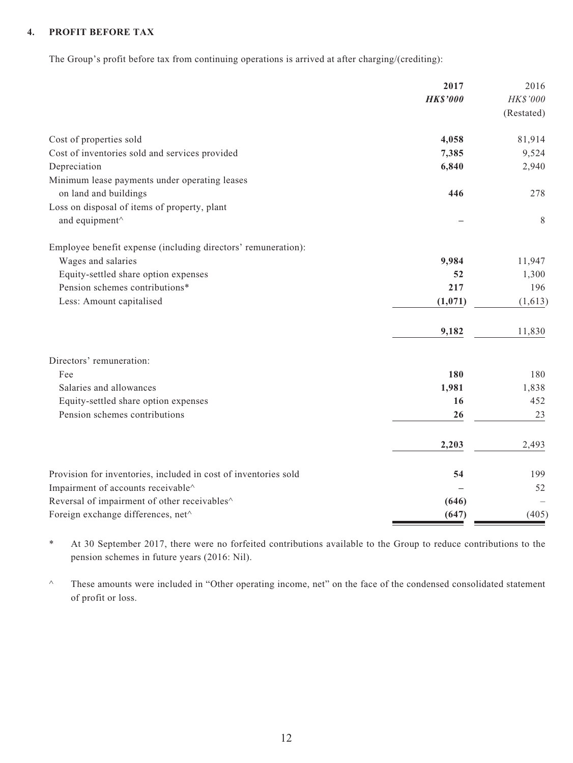### **4. PROFIT BEFORE TAX**

The Group's profit before tax from continuing operations is arrived at after charging/(crediting):

|                                                                 | 2017            | 2016       |
|-----------------------------------------------------------------|-----------------|------------|
|                                                                 | <b>HK\$'000</b> | HK\$'000   |
|                                                                 |                 | (Restated) |
| Cost of properties sold                                         | 4,058           | 81,914     |
| Cost of inventories sold and services provided                  | 7,385           | 9,524      |
| Depreciation                                                    | 6,840           | 2,940      |
| Minimum lease payments under operating leases                   |                 |            |
| on land and buildings                                           | 446             | 278        |
| Loss on disposal of items of property, plant                    |                 |            |
| and equipment^                                                  |                 | 8          |
| Employee benefit expense (including directors' remuneration):   |                 |            |
| Wages and salaries                                              | 9,984           | 11,947     |
| Equity-settled share option expenses                            | 52              | 1,300      |
| Pension schemes contributions*                                  | 217             | 196        |
| Less: Amount capitalised                                        | (1,071)         | (1,613)    |
|                                                                 | 9,182           | 11,830     |
| Directors' remuneration:                                        |                 |            |
| Fee                                                             | 180             | 180        |
| Salaries and allowances                                         | 1,981           | 1,838      |
| Equity-settled share option expenses                            | 16              | 452        |
| Pension schemes contributions                                   | 26              | 23         |
|                                                                 | 2,203           | 2,493      |
| Provision for inventories, included in cost of inventories sold | 54              | 199        |
| Impairment of accounts receivable^                              |                 | 52         |
| Reversal of impairment of other receivables <sup>^</sup>        | (646)           |            |
| Foreign exchange differences, net^                              | (647)           | (405)      |

\* At 30 September 2017, there were no forfeited contributions available to the Group to reduce contributions to the pension schemes in future years (2016: Nil).

^ These amounts were included in "Other operating income, net" on the face of the condensed consolidated statement of profit or loss.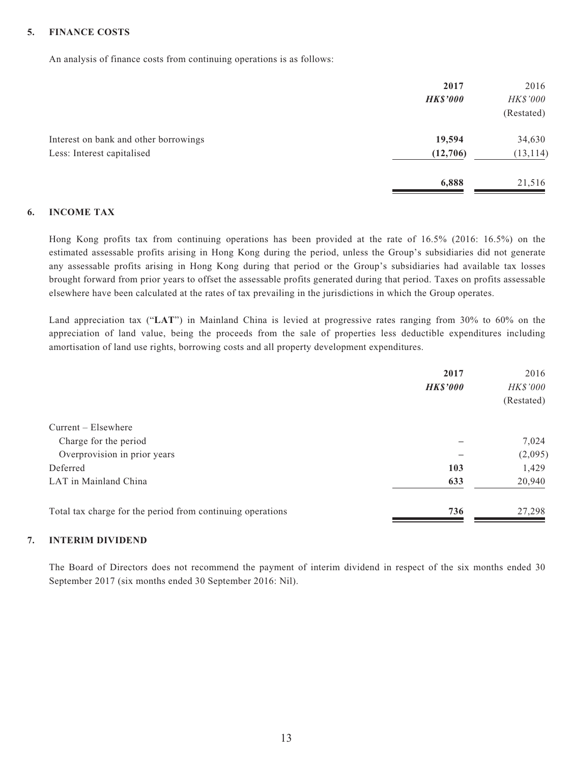#### **5. FINANCE COSTS**

An analysis of finance costs from continuing operations is as follows:

|                                       | 2017            | 2016       |
|---------------------------------------|-----------------|------------|
|                                       | <b>HK\$'000</b> | HK\$'000   |
|                                       |                 | (Restated) |
| Interest on bank and other borrowings | 19,594          | 34,630     |
| Less: Interest capitalised            | (12,706)        | (13, 114)  |
|                                       | 6,888           | 21,516     |

#### **6. INCOME TAX**

Hong Kong profits tax from continuing operations has been provided at the rate of 16.5% (2016: 16.5%) on the estimated assessable profits arising in Hong Kong during the period, unless the Group's subsidiaries did not generate any assessable profits arising in Hong Kong during that period or the Group's subsidiaries had available tax losses brought forward from prior years to offset the assessable profits generated during that period. Taxes on profits assessable elsewhere have been calculated at the rates of tax prevailing in the jurisdictions in which the Group operates.

Land appreciation tax ("**LAT**") in Mainland China is levied at progressive rates ranging from 30% to 60% on the appreciation of land value, being the proceeds from the sale of properties less deductible expenditures including amortisation of land use rights, borrowing costs and all property development expenditures.

|                                                            | 2017            | 2016       |
|------------------------------------------------------------|-----------------|------------|
|                                                            | <b>HK\$'000</b> | HK\$'000   |
|                                                            |                 | (Restated) |
| $Current - Elsewhere$                                      |                 |            |
| Charge for the period                                      |                 | 7,024      |
| Overprovision in prior years                               |                 | (2,095)    |
| Deferred                                                   | 103             | 1,429      |
| LAT in Mainland China                                      | 633             | 20,940     |
| Total tax charge for the period from continuing operations | 736             | 27,298     |

### **7. INTERIM DIVIDEND**

The Board of Directors does not recommend the payment of interim dividend in respect of the six months ended 30 September 2017 (six months ended 30 September 2016: Nil).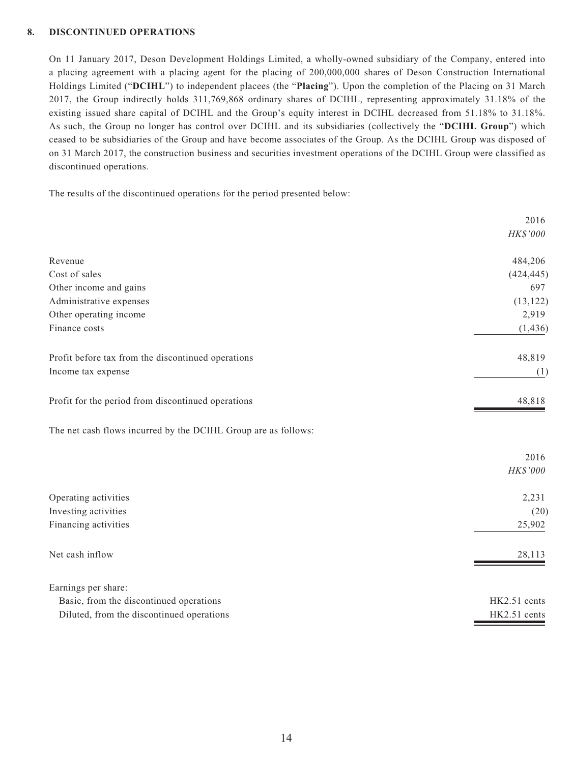#### **8. DISCONTINUED OPERATIONS**

On 11 January 2017, Deson Development Holdings Limited, a wholly-owned subsidiary of the Company, entered into a placing agreement with a placing agent for the placing of 200,000,000 shares of Deson Construction International Holdings Limited ("**DCIHL**") to independent placees (the "**Placing**"). Upon the completion of the Placing on 31 March 2017, the Group indirectly holds 311,769,868 ordinary shares of DCIHL, representing approximately 31.18% of the existing issued share capital of DCIHL and the Group's equity interest in DCIHL decreased from 51.18% to 31.18%. As such, the Group no longer has control over DCIHL and its subsidiaries (collectively the "**DCIHL Group**") which ceased to be subsidiaries of the Group and have become associates of the Group. As the DCIHL Group was disposed of on 31 March 2017, the construction business and securities investment operations of the DCIHL Group were classified as discontinued operations.

The results of the discontinued operations for the period presented below:

|                                                                | 2016         |
|----------------------------------------------------------------|--------------|
|                                                                | HK\$'000     |
| Revenue                                                        | 484,206      |
| Cost of sales                                                  | (424, 445)   |
| Other income and gains                                         | 697          |
| Administrative expenses                                        | (13, 122)    |
| Other operating income                                         | 2,919        |
| Finance costs                                                  | (1, 436)     |
| Profit before tax from the discontinued operations             | 48,819       |
| Income tax expense                                             | (1)          |
| Profit for the period from discontinued operations             | 48,818       |
| The net cash flows incurred by the DCIHL Group are as follows: |              |
|                                                                | 2016         |
|                                                                | HK\$'000     |
| Operating activities                                           | 2,231        |
| Investing activities                                           | (20)         |
| Financing activities                                           | 25,902       |
| Net cash inflow                                                | 28,113       |
| Earnings per share:                                            |              |
| Basic, from the discontinued operations                        | HK2.51 cents |
| Diluted, from the discontinued operations                      | HK2.51 cents |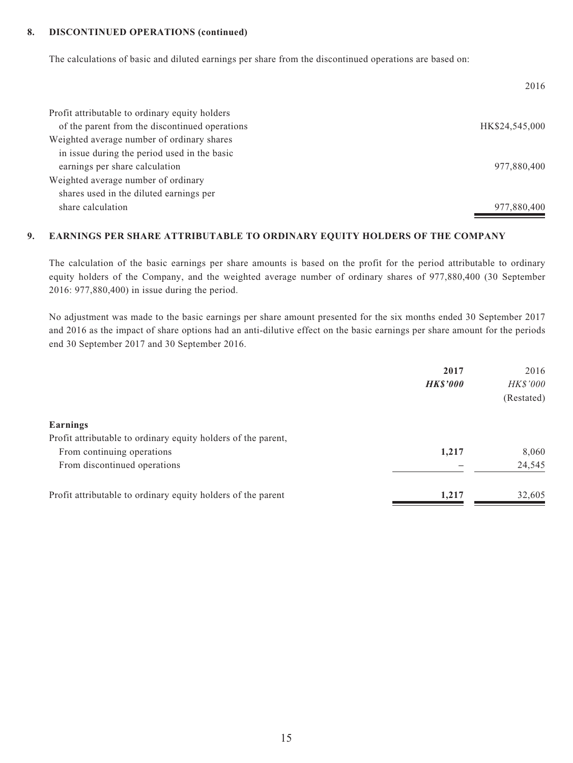#### **8. DISCONTINUED OPERATIONS (continued)**

The calculations of basic and diluted earnings per share from the discontinued operations are based on:

|                                                | 2016           |
|------------------------------------------------|----------------|
| Profit attributable to ordinary equity holders |                |
| of the parent from the discontinued operations | HK\$24,545,000 |
| Weighted average number of ordinary shares     |                |
| in issue during the period used in the basic   |                |
| earnings per share calculation                 | 977,880,400    |
| Weighted average number of ordinary            |                |
| shares used in the diluted earnings per        |                |
| share calculation                              | 977,880,400    |

### **9. EARNINGS PER SHARE ATTRIBUTABLE TO ORDINARY EQUITY HOLDERS OF THE COMPANY**

The calculation of the basic earnings per share amounts is based on the profit for the period attributable to ordinary equity holders of the Company, and the weighted average number of ordinary shares of 977,880,400 (30 September 2016: 977,880,400) in issue during the period.

No adjustment was made to the basic earnings per share amount presented for the six months ended 30 September 2017 and 2016 as the impact of share options had an anti-dilutive effect on the basic earnings per share amount for the periods end 30 September 2017 and 30 September 2016.

| 2017            | 2016       |
|-----------------|------------|
| <b>HK\$'000</b> | HK\$'000   |
|                 | (Restated) |
|                 |            |
|                 |            |
| 1,217           | 8,060      |
|                 | 24,545     |
| 1,217           | 32,605     |
|                 |            |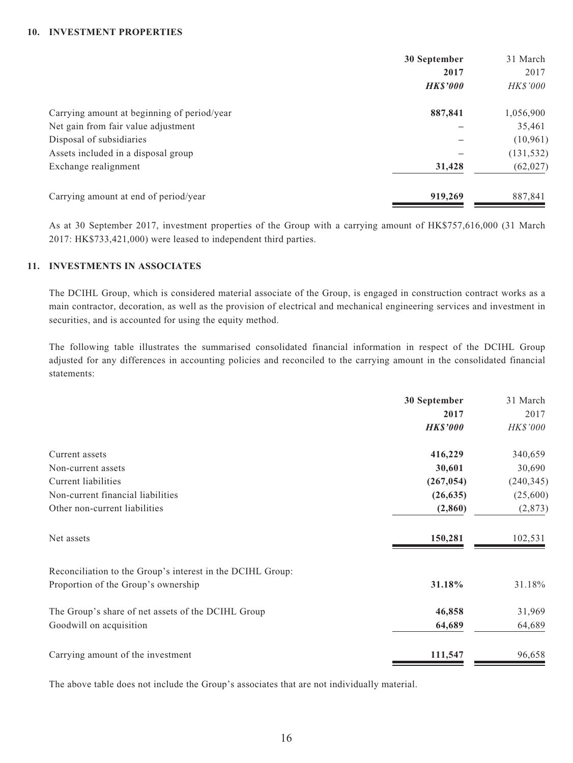#### **10. INVESTMENT PROPERTIES**

|                                             | 30 September   | 31 March        |
|---------------------------------------------|----------------|-----------------|
|                                             | 2017           | 2017            |
|                                             | <b>HKS'000</b> | <b>HK\$'000</b> |
| Carrying amount at beginning of period/year | 887,841        | 1,056,900       |
| Net gain from fair value adjustment         |                | 35,461          |
| Disposal of subsidiaries                    |                | (10,961)        |
| Assets included in a disposal group         |                | (131, 532)      |
| Exchange realignment                        | 31,428         | (62, 027)       |
| Carrying amount at end of period/year       | 919,269        | 887,841         |

As at 30 September 2017, investment properties of the Group with a carrying amount of HK\$757,616,000 (31 March 2017: HK\$733,421,000) were leased to independent third parties.

### **11. INVESTMENTS IN ASSOCIATES**

The DCIHL Group, which is considered material associate of the Group, is engaged in construction contract works as a main contractor, decoration, as well as the provision of electrical and mechanical engineering services and investment in securities, and is accounted for using the equity method.

The following table illustrates the summarised consolidated financial information in respect of the DCIHL Group adjusted for any differences in accounting policies and reconciled to the carrying amount in the consolidated financial statements:

|                                                            | 30 September    | 31 March        |
|------------------------------------------------------------|-----------------|-----------------|
|                                                            | 2017            | 2017            |
|                                                            | <b>HK\$'000</b> | <b>HK\$'000</b> |
| Current assets                                             | 416,229         | 340,659         |
| Non-current assets                                         | 30,601          | 30,690          |
| Current liabilities                                        | (267, 054)      | (240, 345)      |
| Non-current financial liabilities                          | (26, 635)       | (25,600)        |
| Other non-current liabilities                              | (2, 860)        | (2, 873)        |
| Net assets                                                 | 150,281         | 102,531         |
| Reconciliation to the Group's interest in the DCIHL Group: |                 |                 |
| Proportion of the Group's ownership                        | 31.18%          | 31.18%          |
| The Group's share of net assets of the DCIHL Group         | 46,858          | 31,969          |
| Goodwill on acquisition                                    | 64,689          | 64,689          |
| Carrying amount of the investment                          | 111,547         | 96,658          |

The above table does not include the Group's associates that are not individually material.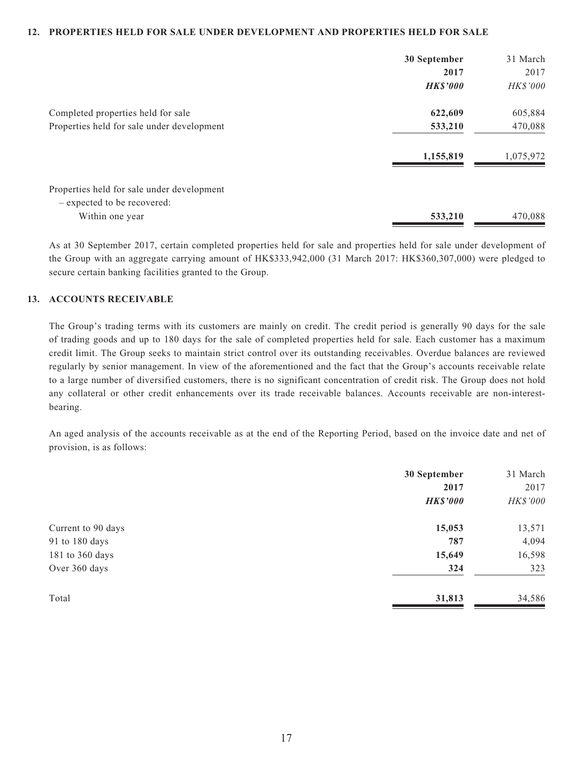#### **12. PROPERTIES HELD FOR SALE UNDER DEVELOPMENT AND PROPERTIES HELD FOR SALE**

|                                            | 30 September    | 31 March  |
|--------------------------------------------|-----------------|-----------|
|                                            | 2017            | 2017      |
|                                            | <b>HK\$'000</b> | HK\$'000  |
| Completed properties held for sale         | 622,609         | 605,884   |
| Properties held for sale under development | 533,210         | 470,088   |
|                                            | 1,155,819       | 1,075,972 |
| Properties held for sale under development |                 |           |
| - expected to be recovered:                |                 |           |
| Within one year                            | 533,210         | 470,088   |

As at 30 September 2017, certain completed properties held for sale and properties held for sale under development of the Group with an aggregate carrying amount of HK\$333,942,000 (31 March 2017: HK\$360,307,000) were pledged to secure certain banking facilities granted to the Group.

#### **13. ACCOUNTS RECEIVABLE**

The Group's trading terms with its customers are mainly on credit. The credit period is generally 90 days for the sale of trading goods and up to 180 days for the sale of completed properties held for sale. Each customer has a maximum credit limit. The Group seeks to maintain strict control over its outstanding receivables. Overdue balances are reviewed regularly by senior management. In view of the aforementioned and the fact that the Group's accounts receivable relate to a large number of diversified customers, there is no significant concentration of credit risk. The Group does not hold any collateral or other credit enhancements over its trade receivable balances. Accounts receivable are non-interestbearing.

An aged analysis of the accounts receivable as at the end of the Reporting Period, based on the invoice date and net of provision, is as follows:

|                    | 30 September    | 31 March |
|--------------------|-----------------|----------|
|                    | 2017            | 2017     |
|                    | <b>HK\$'000</b> | HK\$'000 |
| Current to 90 days | 15,053          | 13,571   |
| 91 to 180 days     | 787             | 4,094    |
| 181 to 360 days    | 15,649          | 16,598   |
| Over 360 days      | 324             | 323      |
| Total              | 31,813          | 34,586   |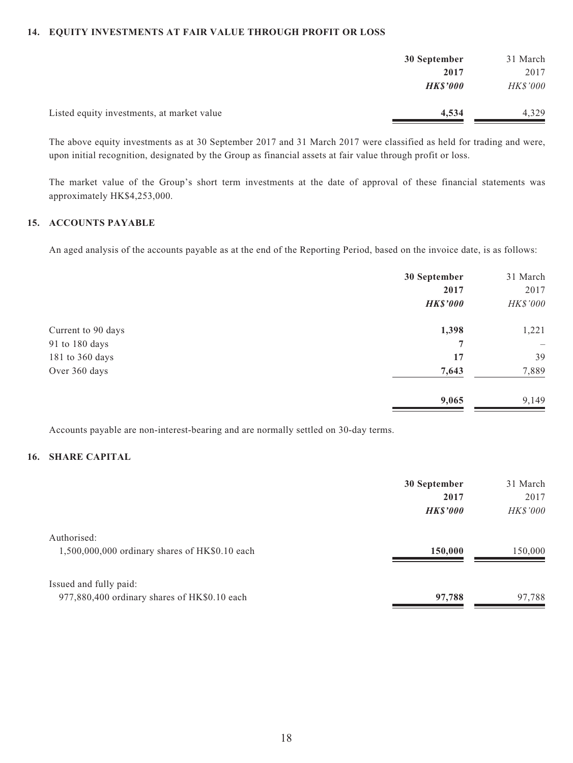### **14. EQUITY INVESTMENTS AT FAIR VALUE THROUGH PROFIT OR LOSS**

|                                            | 30 September    | 31 March        |
|--------------------------------------------|-----------------|-----------------|
|                                            | 2017            | 2017            |
|                                            | <b>HK\$'000</b> | <b>HK\$'000</b> |
| Listed equity investments, at market value | 4,534           | 4,329           |

The above equity investments as at 30 September 2017 and 31 March 2017 were classified as held for trading and were, upon initial recognition, designated by the Group as financial assets at fair value through profit or loss.

The market value of the Group's short term investments at the date of approval of these financial statements was approximately HK\$4,253,000.

### **15. ACCOUNTS PAYABLE**

An aged analysis of the accounts payable as at the end of the Reporting Period, based on the invoice date, is as follows:

|                    | 30 September<br>2017 | 31 March<br>2017         |
|--------------------|----------------------|--------------------------|
|                    | <b>HK\$'000</b>      | HK\$'000                 |
| Current to 90 days | 1,398                | 1,221                    |
| 91 to 180 days     | 7                    | $\overline{\phantom{0}}$ |
| 181 to 360 days    | 17                   | 39                       |
| Over 360 days      | 7,643                | 7,889                    |
|                    | 9,065                | 9,149                    |

Accounts payable are non-interest-bearing and are normally settled on 30-day terms.

### **16. SHARE CAPITAL**

|                                                | 30 September   | 31 March        |
|------------------------------------------------|----------------|-----------------|
|                                                | 2017           | 2017            |
|                                                | <b>HKS'000</b> | <b>HK\$'000</b> |
| Authorised:                                    |                |                 |
| 1,500,000,000 ordinary shares of HK\$0.10 each | 150,000        | 150,000         |
|                                                |                |                 |
| Issued and fully paid:                         |                |                 |
| 977,880,400 ordinary shares of HK\$0.10 each   | 97,788         | 97,788          |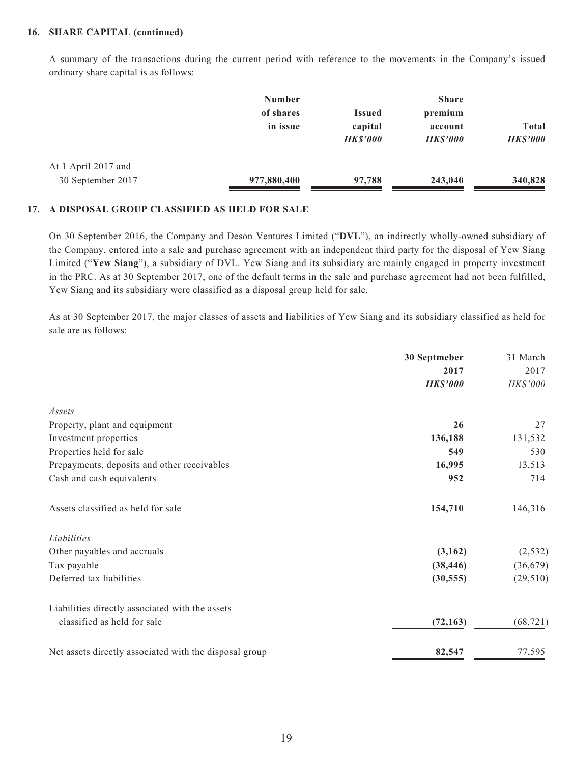#### **16. SHARE CAPITAL (continued)**

A summary of the transactions during the current period with reference to the movements in the Company's issued ordinary share capital is as follows:

|                     | <b>Number</b> |                 | <b>Share</b>   |                 |  |
|---------------------|---------------|-----------------|----------------|-----------------|--|
|                     | of shares     | <b>Issued</b>   | premium        |                 |  |
|                     | in issue      | capital         | account        | <b>Total</b>    |  |
|                     |               | <b>HK\$'000</b> | <b>HKS'000</b> | <b>HK\$'000</b> |  |
| At 1 April 2017 and |               |                 |                |                 |  |
| 30 September 2017   | 977,880,400   | 97,788          | 243,040        | 340,828         |  |

#### **17. A DISPOSAL GROUP CLASSIFIED AS HELD FOR SALE**

On 30 September 2016, the Company and Deson Ventures Limited ("**DVL**"), an indirectly wholly-owned subsidiary of the Company, entered into a sale and purchase agreement with an independent third party for the disposal of Yew Siang Limited ("**Yew Siang**"), a subsidiary of DVL. Yew Siang and its subsidiary are mainly engaged in property investment in the PRC. As at 30 September 2017, one of the default terms in the sale and purchase agreement had not been fulfilled, Yew Siang and its subsidiary were classified as a disposal group held for sale.

As at 30 September 2017, the major classes of assets and liabilities of Yew Siang and its subsidiary classified as held for sale are as follows:

|                                                        | 30 Septmeber    | 31 March  |
|--------------------------------------------------------|-----------------|-----------|
|                                                        | 2017            | 2017      |
|                                                        | <b>HK\$'000</b> | HK\$'000  |
| Assets                                                 |                 |           |
| Property, plant and equipment                          | 26              | 27        |
| Investment properties                                  | 136,188         | 131,532   |
| Properties held for sale                               | 549             | 530       |
| Prepayments, deposits and other receivables            | 16,995          | 13,513    |
| Cash and cash equivalents                              | 952             | 714       |
| Assets classified as held for sale                     | 154,710         | 146,316   |
| Liabilities                                            |                 |           |
| Other payables and accruals                            | (3,162)         | (2, 532)  |
| Tax payable                                            | (38, 446)       | (36, 679) |
| Deferred tax liabilities                               | (30, 555)       | (29, 510) |
| Liabilities directly associated with the assets        |                 |           |
| classified as held for sale                            | (72, 163)       | (68, 721) |
| Net assets directly associated with the disposal group | 82,547          | 77,595    |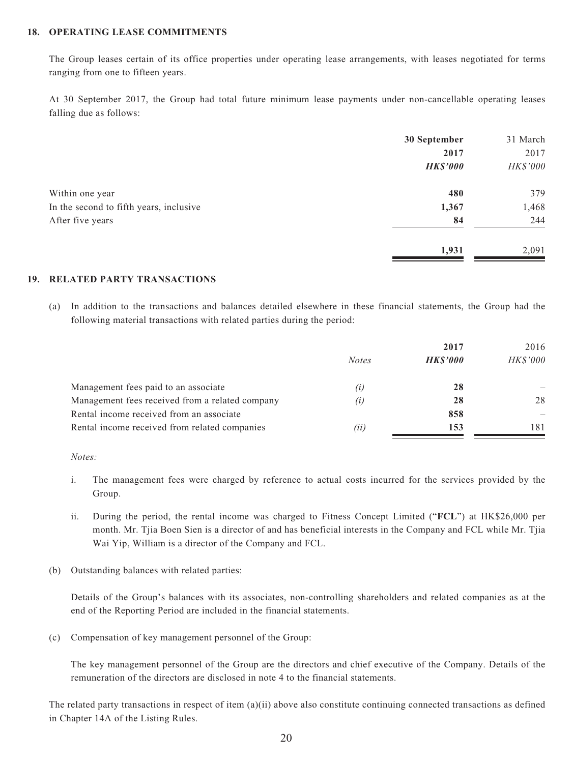### **18. OPERATING LEASE COMMITMENTS**

The Group leases certain of its office properties under operating lease arrangements, with leases negotiated for terms ranging from one to fifteen years.

At 30 September 2017, the Group had total future minimum lease payments under non-cancellable operating leases falling due as follows:

|                                         | 30 September    | 31 March |
|-----------------------------------------|-----------------|----------|
|                                         | 2017            | 2017     |
|                                         | <b>HK\$'000</b> | HK\$'000 |
| Within one year                         | 480             | 379      |
| In the second to fifth years, inclusive | 1,367           | 1,468    |
| After five years                        | 84              | 244      |
|                                         | 1,931           | 2,091    |

#### **19. RELATED PARTY TRANSACTIONS**

(a) In addition to the transactions and balances detailed elsewhere in these financial statements, the Group had the following material transactions with related parties during the period:

|                                                 |              | 2017            | 2016            |
|-------------------------------------------------|--------------|-----------------|-----------------|
|                                                 | <b>Notes</b> | <b>HK\$'000</b> | <b>HK\$'000</b> |
| Management fees paid to an associate            | (i)          | 28              |                 |
| Management fees received from a related company | (i)          | 28              | 28              |
| Rental income received from an associate        |              | 858             |                 |
| Rental income received from related companies   | (ii)         | 153             | 181             |

*Notes:*

- i. The management fees were charged by reference to actual costs incurred for the services provided by the Group.
- ii. During the period, the rental income was charged to Fitness Concept Limited ("**FCL**") at HK\$26,000 per month. Mr. Tjia Boen Sien is a director of and has beneficial interests in the Company and FCL while Mr. Tjia Wai Yip, William is a director of the Company and FCL.
- (b) Outstanding balances with related parties:

Details of the Group's balances with its associates, non-controlling shareholders and related companies as at the end of the Reporting Period are included in the financial statements.

(c) Compensation of key management personnel of the Group:

The key management personnel of the Group are the directors and chief executive of the Company. Details of the remuneration of the directors are disclosed in note 4 to the financial statements.

The related party transactions in respect of item (a)(ii) above also constitute continuing connected transactions as defined in Chapter 14A of the Listing Rules.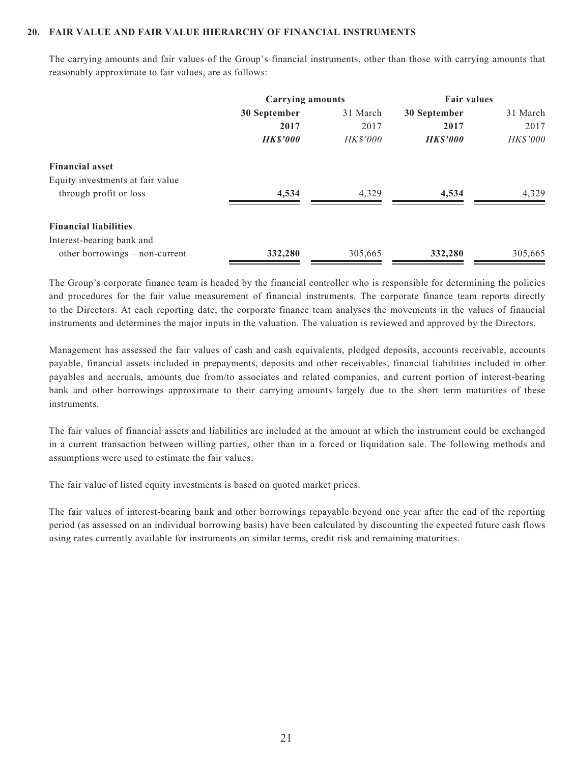#### **20. FAIR VALUE AND FAIR VALUE HIERARCHY OF FINANCIAL INSTRUMENTS**

The carrying amounts and fair values of the Group's financial instruments, other than those with carrying amounts that reasonably approximate to fair values, are as follows:

|                                  | <b>Carrying amounts</b> |                 | <b>Fair values</b> |          |
|----------------------------------|-------------------------|-----------------|--------------------|----------|
|                                  | 30 September            | 31 March        | 30 September       | 31 March |
|                                  | 2017                    | 2017            | 2017               | 2017     |
|                                  | <b>HK\$'000</b>         | <b>HK\$'000</b> | <b>HK\$'000</b>    | HK\$'000 |
| <b>Financial asset</b>           |                         |                 |                    |          |
| Equity investments at fair value |                         |                 |                    |          |
| through profit or loss           | 4,534                   | 4,329           | 4,534              | 4.329    |
| <b>Financial liabilities</b>     |                         |                 |                    |          |
| Interest-bearing bank and        |                         |                 |                    |          |
| other borrowings – non-current   | 332,280                 | 305,665         | 332,280            | 305,665  |

The Group's corporate finance team is headed by the financial controller who is responsible for determining the policies and procedures for the fair value measurement of financial instruments. The corporate finance team reports directly to the Directors. At each reporting date, the corporate finance team analyses the movements in the values of financial instruments and determines the major inputs in the valuation. The valuation is reviewed and approved by the Directors.

Management has assessed the fair values of cash and cash equivalents, pledged deposits, accounts receivable, accounts payable, financial assets included in prepayments, deposits and other receivables, financial liabilities included in other payables and accruals, amounts due from/to associates and related companies, and current portion of interest-bearing bank and other borrowings approximate to their carrying amounts largely due to the short term maturities of these instruments.

The fair values of financial assets and liabilities are included at the amount at which the instrument could be exchanged in a current transaction between willing parties, other than in a forced or liquidation sale. The following methods and assumptions were used to estimate the fair values:

The fair value of listed equity investments is based on quoted market prices.

The fair values of interest-bearing bank and other borrowings repayable beyond one year after the end of the reporting period (as assessed on an individual borrowing basis) have been calculated by discounting the expected future cash flows using rates currently available for instruments on similar terms, credit risk and remaining maturities.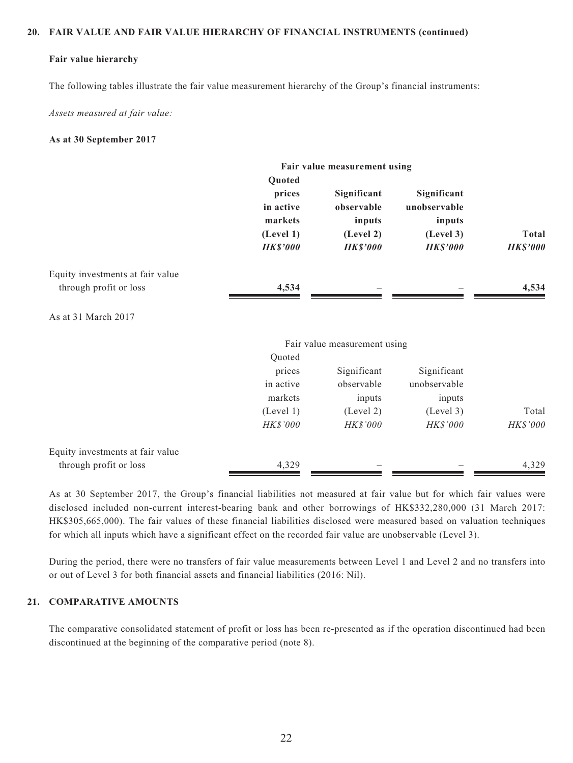#### **20. FAIR VALUE AND FAIR VALUE HIERARCHY OF FINANCIAL INSTRUMENTS (continued)**

#### **Fair value hierarchy**

The following tables illustrate the fair value measurement hierarchy of the Group's financial instruments:

*Assets measured at fair value:*

#### **As at 30 September 2017**

|                                  |                                                                          | Fair value measurement using                                        |                                                                       |                                 |
|----------------------------------|--------------------------------------------------------------------------|---------------------------------------------------------------------|-----------------------------------------------------------------------|---------------------------------|
|                                  | Quoted<br>prices<br>in active<br>markets<br>(Level 1)<br><b>HK\$'000</b> | Significant<br>observable<br>inputs<br>(Level 2)<br><b>HK\$'000</b> | Significant<br>unobservable<br>inputs<br>(Level 3)<br><b>HK\$'000</b> | <b>Total</b><br><b>HK\$'000</b> |
| Equity investments at fair value |                                                                          |                                                                     |                                                                       |                                 |
| through profit or loss           | 4,534                                                                    |                                                                     |                                                                       | 4,534                           |
| As at 31 March 2017              |                                                                          |                                                                     |                                                                       |                                 |
|                                  |                                                                          | Fair value measurement using                                        |                                                                       |                                 |
|                                  | Quoted                                                                   |                                                                     |                                                                       |                                 |
|                                  | prices                                                                   | Significant                                                         | Significant                                                           |                                 |
|                                  | in active                                                                | observable                                                          | unobservable                                                          |                                 |
|                                  | markets                                                                  | inputs                                                              | inputs                                                                |                                 |
|                                  | (Level 1)                                                                | (Level 2)                                                           | (Level 3)                                                             | Total                           |
|                                  | HK\$'000                                                                 | HK\$'000                                                            | HK\$'000                                                              | HK\$'000                        |
| Equity investments at fair value |                                                                          |                                                                     |                                                                       |                                 |
| through profit or loss           | 4,329                                                                    |                                                                     |                                                                       | 4,329                           |

As at 30 September 2017, the Group's financial liabilities not measured at fair value but for which fair values were disclosed included non-current interest-bearing bank and other borrowings of HK\$332,280,000 (31 March 2017: HK\$305,665,000). The fair values of these financial liabilities disclosed were measured based on valuation techniques for which all inputs which have a significant effect on the recorded fair value are unobservable (Level 3).

During the period, there were no transfers of fair value measurements between Level 1 and Level 2 and no transfers into or out of Level 3 for both financial assets and financial liabilities (2016: Nil).

### **21. COMPARATIVE AMOUNTS**

The comparative consolidated statement of profit or loss has been re-presented as if the operation discontinued had been discontinued at the beginning of the comparative period (note 8).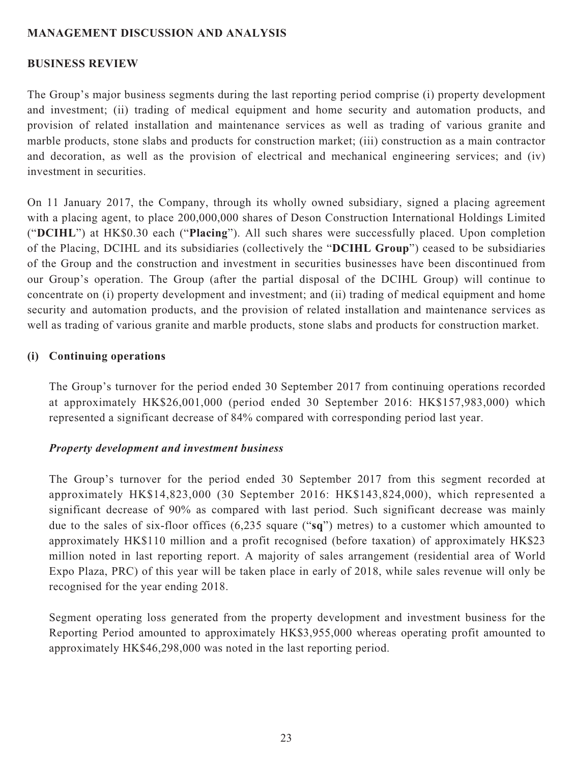### **MANAGEMENT DISCUSSION AND ANALYSIS**

### **BUSINESS REVIEW**

The Group's major business segments during the last reporting period comprise (i) property development and investment; (ii) trading of medical equipment and home security and automation products, and provision of related installation and maintenance services as well as trading of various granite and marble products, stone slabs and products for construction market; (iii) construction as a main contractor and decoration, as well as the provision of electrical and mechanical engineering services; and (iv) investment in securities.

On 11 January 2017, the Company, through its wholly owned subsidiary, signed a placing agreement with a placing agent, to place 200,000,000 shares of Deson Construction International Holdings Limited ("**DCIHL**") at HK\$0.30 each ("**Placing**"). All such shares were successfully placed. Upon completion of the Placing, DCIHL and its subsidiaries (collectively the "**DCIHL Group**") ceased to be subsidiaries of the Group and the construction and investment in securities businesses have been discontinued from our Group's operation. The Group (after the partial disposal of the DCIHL Group) will continue to concentrate on (i) property development and investment; and (ii) trading of medical equipment and home security and automation products, and the provision of related installation and maintenance services as well as trading of various granite and marble products, stone slabs and products for construction market.

### **(i) Continuing operations**

The Group's turnover for the period ended 30 September 2017 from continuing operations recorded at approximately HK\$26,001,000 (period ended 30 September 2016: HK\$157,983,000) which represented a significant decrease of 84% compared with corresponding period last year.

### *Property development and investment business*

The Group's turnover for the period ended 30 September 2017 from this segment recorded at approximately HK\$14,823,000 (30 September 2016: HK\$143,824,000), which represented a significant decrease of 90% as compared with last period. Such significant decrease was mainly due to the sales of six-floor offices (6,235 square ("**sq**") metres) to a customer which amounted to approximately HK\$110 million and a profit recognised (before taxation) of approximately HK\$23 million noted in last reporting report. A majority of sales arrangement (residential area of World Expo Plaza, PRC) of this year will be taken place in early of 2018, while sales revenue will only be recognised for the year ending 2018.

Segment operating loss generated from the property development and investment business for the Reporting Period amounted to approximately HK\$3,955,000 whereas operating profit amounted to approximately HK\$46,298,000 was noted in the last reporting period.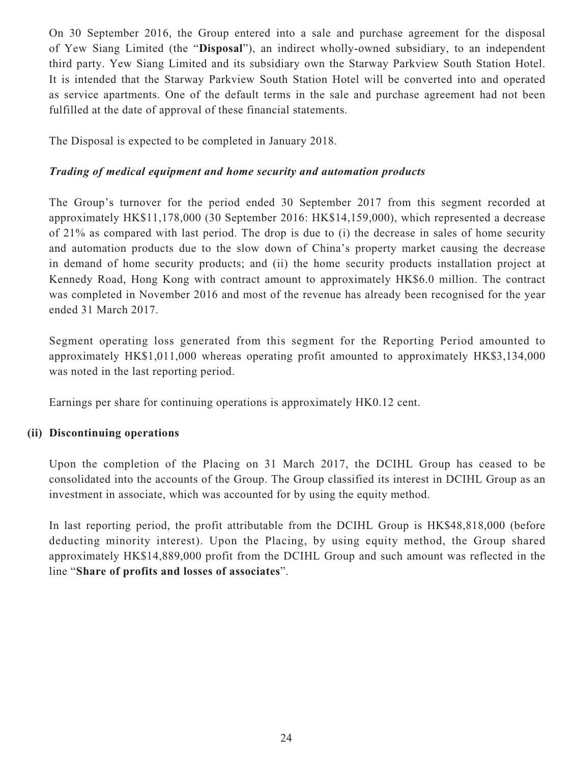On 30 September 2016, the Group entered into a sale and purchase agreement for the disposal of Yew Siang Limited (the "**Disposal**"), an indirect wholly-owned subsidiary, to an independent third party. Yew Siang Limited and its subsidiary own the Starway Parkview South Station Hotel. It is intended that the Starway Parkview South Station Hotel will be converted into and operated as service apartments. One of the default terms in the sale and purchase agreement had not been fulfilled at the date of approval of these financial statements.

The Disposal is expected to be completed in January 2018.

## *Trading of medical equipment and home security and automation products*

The Group's turnover for the period ended 30 September 2017 from this segment recorded at approximately HK\$11,178,000 (30 September 2016: HK\$14,159,000), which represented a decrease of 21% as compared with last period. The drop is due to (i) the decrease in sales of home security and automation products due to the slow down of China's property market causing the decrease in demand of home security products; and (ii) the home security products installation project at Kennedy Road, Hong Kong with contract amount to approximately HK\$6.0 million. The contract was completed in November 2016 and most of the revenue has already been recognised for the year ended 31 March 2017.

Segment operating loss generated from this segment for the Reporting Period amounted to approximately HK\$1,011,000 whereas operating profit amounted to approximately HK\$3,134,000 was noted in the last reporting period.

Earnings per share for continuing operations is approximately HK0.12 cent.

## **(ii) Discontinuing operations**

Upon the completion of the Placing on 31 March 2017, the DCIHL Group has ceased to be consolidated into the accounts of the Group. The Group classified its interest in DCIHL Group as an investment in associate, which was accounted for by using the equity method.

In last reporting period, the profit attributable from the DCIHL Group is HK\$48,818,000 (before deducting minority interest). Upon the Placing, by using equity method, the Group shared approximately HK\$14,889,000 profit from the DCIHL Group and such amount was reflected in the line "**Share of profits and losses of associates**".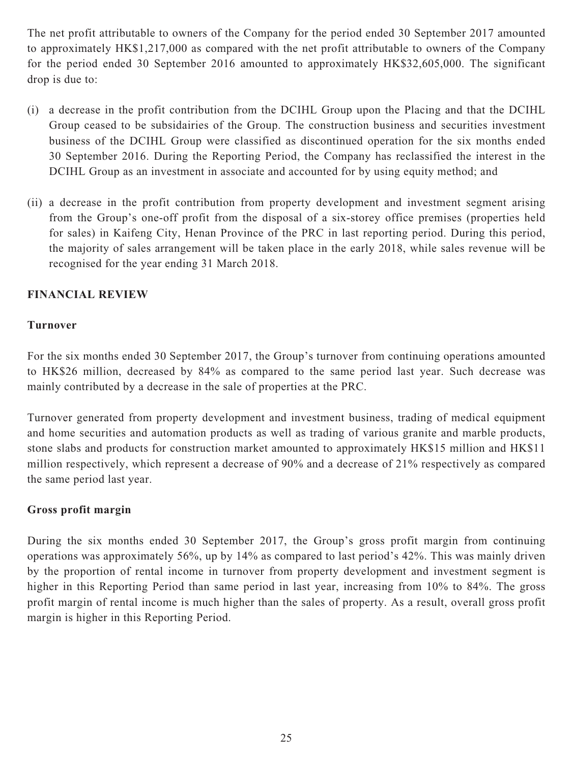The net profit attributable to owners of the Company for the period ended 30 September 2017 amounted to approximately HK\$1,217,000 as compared with the net profit attributable to owners of the Company for the period ended 30 September 2016 amounted to approximately HK\$32,605,000. The significant drop is due to:

- (i) a decrease in the profit contribution from the DCIHL Group upon the Placing and that the DCIHL Group ceased to be subsidairies of the Group. The construction business and securities investment business of the DCIHL Group were classified as discontinued operation for the six months ended 30 September 2016. During the Reporting Period, the Company has reclassified the interest in the DCIHL Group as an investment in associate and accounted for by using equity method; and
- (ii) a decrease in the profit contribution from property development and investment segment arising from the Group's one-off profit from the disposal of a six-storey office premises (properties held for sales) in Kaifeng City, Henan Province of the PRC in last reporting period. During this period, the majority of sales arrangement will be taken place in the early 2018, while sales revenue will be recognised for the year ending 31 March 2018.

## **FINANCIAL REVIEW**

## **Turnover**

For the six months ended 30 September 2017, the Group's turnover from continuing operations amounted to HK\$26 million, decreased by 84% as compared to the same period last year. Such decrease was mainly contributed by a decrease in the sale of properties at the PRC.

Turnover generated from property development and investment business, trading of medical equipment and home securities and automation products as well as trading of various granite and marble products, stone slabs and products for construction market amounted to approximately HK\$15 million and HK\$11 million respectively, which represent a decrease of 90% and a decrease of 21% respectively as compared the same period last year.

### **Gross profit margin**

During the six months ended 30 September 2017, the Group's gross profit margin from continuing operations was approximately 56%, up by 14% as compared to last period's 42%. This was mainly driven by the proportion of rental income in turnover from property development and investment segment is higher in this Reporting Period than same period in last year, increasing from 10% to 84%. The gross profit margin of rental income is much higher than the sales of property. As a result, overall gross profit margin is higher in this Reporting Period.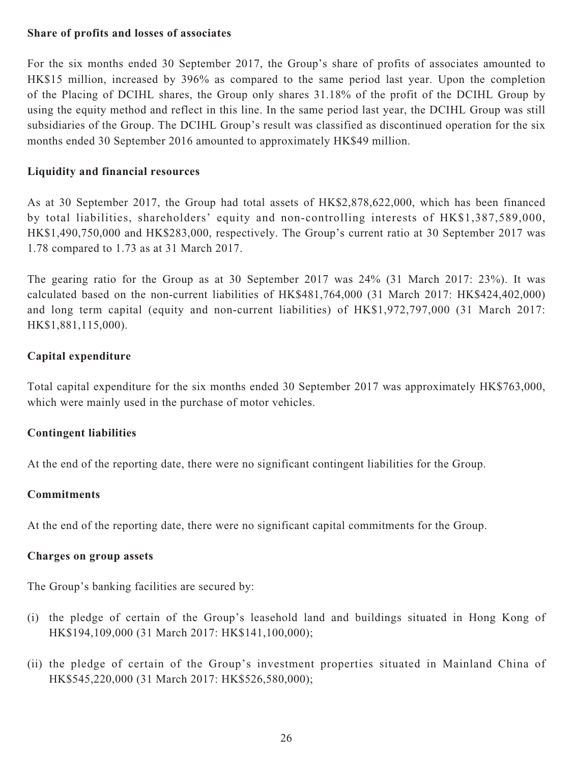### **Share of profits and losses of associates**

For the six months ended 30 September 2017, the Group's share of profits of associates amounted to HK\$15 million, increased by 396% as compared to the same period last year. Upon the completion of the Placing of DCIHL shares, the Group only shares 31.18% of the profit of the DCIHL Group by using the equity method and reflect in this line. In the same period last year, the DCIHL Group was still subsidiaries of the Group. The DCIHL Group's result was classified as discontinued operation for the six months ended 30 September 2016 amounted to approximately HK\$49 million.

## **Liquidity and financial resources**

As at 30 September 2017, the Group had total assets of HK\$2,878,622,000, which has been financed by total liabilities, shareholders' equity and non-controlling interests of HK\$1,387,589,000, HK\$1,490,750,000 and HK\$283,000, respectively. The Group's current ratio at 30 September 2017 was 1.78 compared to 1.73 as at 31 March 2017.

The gearing ratio for the Group as at 30 September 2017 was 24% (31 March 2017: 23%). It was calculated based on the non-current liabilities of HK\$481,764,000 (31 March 2017: HK\$424,402,000) and long term capital (equity and non-current liabilities) of HK\$1,972,797,000 (31 March 2017: HK\$1,881,115,000).

## **Capital expenditure**

Total capital expenditure for the six months ended 30 September 2017 was approximately HK\$763,000, which were mainly used in the purchase of motor vehicles.

## **Contingent liabilities**

At the end of the reporting date, there were no significant contingent liabilities for the Group.

### **Commitments**

At the end of the reporting date, there were no significant capital commitments for the Group.

### **Charges on group assets**

The Group's banking facilities are secured by:

- (i) the pledge of certain of the Group's leasehold land and buildings situated in Hong Kong of HK\$194,109,000 (31 March 2017: HK\$141,100,000);
- (ii) the pledge of certain of the Group's investment properties situated in Mainland China of HK\$545,220,000 (31 March 2017: HK\$526,580,000);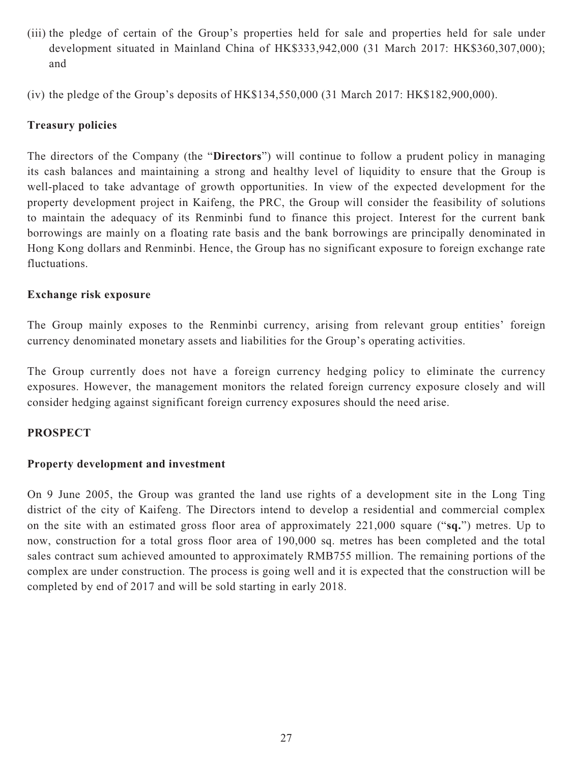(iii) the pledge of certain of the Group's properties held for sale and properties held for sale under development situated in Mainland China of HK\$333,942,000 (31 March 2017: HK\$360,307,000); and

(iv) the pledge of the Group's deposits of HK\$134,550,000 (31 March 2017: HK\$182,900,000).

## **Treasury policies**

The directors of the Company (the "**Directors**") will continue to follow a prudent policy in managing its cash balances and maintaining a strong and healthy level of liquidity to ensure that the Group is well-placed to take advantage of growth opportunities. In view of the expected development for the property development project in Kaifeng, the PRC, the Group will consider the feasibility of solutions to maintain the adequacy of its Renminbi fund to finance this project. Interest for the current bank borrowings are mainly on a floating rate basis and the bank borrowings are principally denominated in Hong Kong dollars and Renminbi. Hence, the Group has no significant exposure to foreign exchange rate fluctuations.

### **Exchange risk exposure**

The Group mainly exposes to the Renminbi currency, arising from relevant group entities' foreign currency denominated monetary assets and liabilities for the Group's operating activities.

The Group currently does not have a foreign currency hedging policy to eliminate the currency exposures. However, the management monitors the related foreign currency exposure closely and will consider hedging against significant foreign currency exposures should the need arise.

## **PROSPECT**

### **Property development and investment**

On 9 June 2005, the Group was granted the land use rights of a development site in the Long Ting district of the city of Kaifeng. The Directors intend to develop a residential and commercial complex on the site with an estimated gross floor area of approximately 221,000 square ("**sq.**") metres. Up to now, construction for a total gross floor area of 190,000 sq. metres has been completed and the total sales contract sum achieved amounted to approximately RMB755 million. The remaining portions of the complex are under construction. The process is going well and it is expected that the construction will be completed by end of 2017 and will be sold starting in early 2018.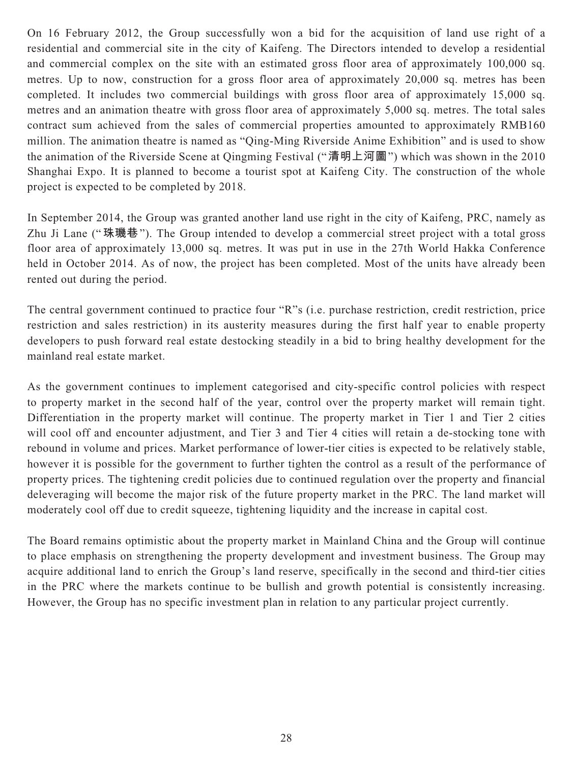On 16 February 2012, the Group successfully won a bid for the acquisition of land use right of a residential and commercial site in the city of Kaifeng. The Directors intended to develop a residential and commercial complex on the site with an estimated gross floor area of approximately 100,000 sq. metres. Up to now, construction for a gross floor area of approximately 20,000 sq. metres has been completed. It includes two commercial buildings with gross floor area of approximately 15,000 sq. metres and an animation theatre with gross floor area of approximately 5,000 sq. metres. The total sales contract sum achieved from the sales of commercial properties amounted to approximately RMB160 million. The animation theatre is named as "Qing-Ming Riverside Anime Exhibition" and is used to show the animation of the Riverside Scene at Qingming Festival ("**清明上河圖**") which was shown in the 2010 Shanghai Expo. It is planned to become a tourist spot at Kaifeng City. The construction of the whole project is expected to be completed by 2018.

In September 2014, the Group was granted another land use right in the city of Kaifeng, PRC, namely as Zhu Ji Lane ("**珠璣巷**"). The Group intended to develop a commercial street project with a total gross floor area of approximately 13,000 sq. metres. It was put in use in the 27th World Hakka Conference held in October 2014. As of now, the project has been completed. Most of the units have already been rented out during the period.

The central government continued to practice four "R"s (i.e. purchase restriction, credit restriction, price restriction and sales restriction) in its austerity measures during the first half year to enable property developers to push forward real estate destocking steadily in a bid to bring healthy development for the mainland real estate market.

As the government continues to implement categorised and city-specific control policies with respect to property market in the second half of the year, control over the property market will remain tight. Differentiation in the property market will continue. The property market in Tier 1 and Tier 2 cities will cool off and encounter adjustment, and Tier 3 and Tier 4 cities will retain a de-stocking tone with rebound in volume and prices. Market performance of lower-tier cities is expected to be relatively stable, however it is possible for the government to further tighten the control as a result of the performance of property prices. The tightening credit policies due to continued regulation over the property and financial deleveraging will become the major risk of the future property market in the PRC. The land market will moderately cool off due to credit squeeze, tightening liquidity and the increase in capital cost.

The Board remains optimistic about the property market in Mainland China and the Group will continue to place emphasis on strengthening the property development and investment business. The Group may acquire additional land to enrich the Group's land reserve, specifically in the second and third-tier cities in the PRC where the markets continue to be bullish and growth potential is consistently increasing. However, the Group has no specific investment plan in relation to any particular project currently.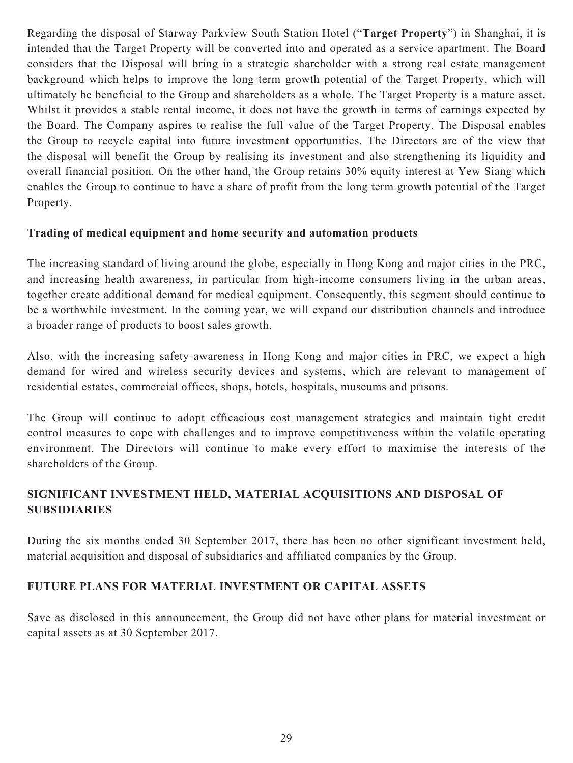Regarding the disposal of Starway Parkview South Station Hotel ("**Target Property**") in Shanghai, it is intended that the Target Property will be converted into and operated as a service apartment. The Board considers that the Disposal will bring in a strategic shareholder with a strong real estate management background which helps to improve the long term growth potential of the Target Property, which will ultimately be beneficial to the Group and shareholders as a whole. The Target Property is a mature asset. Whilst it provides a stable rental income, it does not have the growth in terms of earnings expected by the Board. The Company aspires to realise the full value of the Target Property. The Disposal enables the Group to recycle capital into future investment opportunities. The Directors are of the view that the disposal will benefit the Group by realising its investment and also strengthening its liquidity and overall financial position. On the other hand, the Group retains 30% equity interest at Yew Siang which enables the Group to continue to have a share of profit from the long term growth potential of the Target Property.

## **Trading of medical equipment and home security and automation products**

The increasing standard of living around the globe, especially in Hong Kong and major cities in the PRC, and increasing health awareness, in particular from high-income consumers living in the urban areas, together create additional demand for medical equipment. Consequently, this segment should continue to be a worthwhile investment. In the coming year, we will expand our distribution channels and introduce a broader range of products to boost sales growth.

Also, with the increasing safety awareness in Hong Kong and major cities in PRC, we expect a high demand for wired and wireless security devices and systems, which are relevant to management of residential estates, commercial offices, shops, hotels, hospitals, museums and prisons.

The Group will continue to adopt efficacious cost management strategies and maintain tight credit control measures to cope with challenges and to improve competitiveness within the volatile operating environment. The Directors will continue to make every effort to maximise the interests of the shareholders of the Group.

## **SIGNIFICANT INVESTMENT HELD, MATERIAL ACQUISITIONS AND DISPOSAL OF SUBSIDIARIES**

During the six months ended 30 September 2017, there has been no other significant investment held, material acquisition and disposal of subsidiaries and affiliated companies by the Group.

## **FUTURE PLANS FOR MATERIAL INVESTMENT OR CAPITAL ASSETS**

Save as disclosed in this announcement, the Group did not have other plans for material investment or capital assets as at 30 September 2017.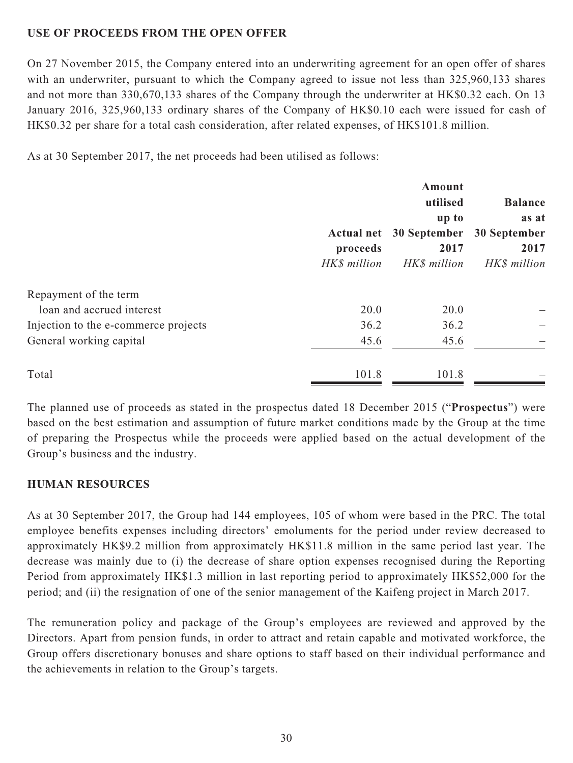## **USE OF PROCEEDS FROM THE OPEN OFFER**

On 27 November 2015, the Company entered into an underwriting agreement for an open offer of shares with an underwriter, pursuant to which the Company agreed to issue not less than 325,960,133 shares and not more than 330,670,133 shares of the Company through the underwriter at HK\$0.32 each. On 13 January 2016, 325,960,133 ordinary shares of the Company of HK\$0.10 each were issued for cash of HK\$0.32 per share for a total cash consideration, after related expenses, of HK\$101.8 million.

As at 30 September 2017, the net proceeds had been utilised as follows:

|                                      | <b>Actual net</b> | Amount<br>utilised<br>up to<br>30 September | <b>Balance</b><br>as at<br>30 September |
|--------------------------------------|-------------------|---------------------------------------------|-----------------------------------------|
|                                      | proceeds          | 2017                                        | 2017                                    |
|                                      | HK\$ million      | HK\$ million                                | HK\$ million                            |
| Repayment of the term                |                   |                                             |                                         |
| loan and accrued interest            | 20.0              | 20.0                                        |                                         |
| Injection to the e-commerce projects | 36.2              | 36.2                                        |                                         |
| General working capital              | 45.6              | 45.6                                        |                                         |
| Total                                | 101.8             | 101.8                                       |                                         |

The planned use of proceeds as stated in the prospectus dated 18 December 2015 ("**Prospectus**") were based on the best estimation and assumption of future market conditions made by the Group at the time of preparing the Prospectus while the proceeds were applied based on the actual development of the Group's business and the industry.

## **HUMAN RESOURCES**

As at 30 September 2017, the Group had 144 employees, 105 of whom were based in the PRC. The total employee benefits expenses including directors' emoluments for the period under review decreased to approximately HK\$9.2 million from approximately HK\$11.8 million in the same period last year. The decrease was mainly due to (i) the decrease of share option expenses recognised during the Reporting Period from approximately HK\$1.3 million in last reporting period to approximately HK\$52,000 for the period; and (ii) the resignation of one of the senior management of the Kaifeng project in March 2017.

The remuneration policy and package of the Group's employees are reviewed and approved by the Directors. Apart from pension funds, in order to attract and retain capable and motivated workforce, the Group offers discretionary bonuses and share options to staff based on their individual performance and the achievements in relation to the Group's targets.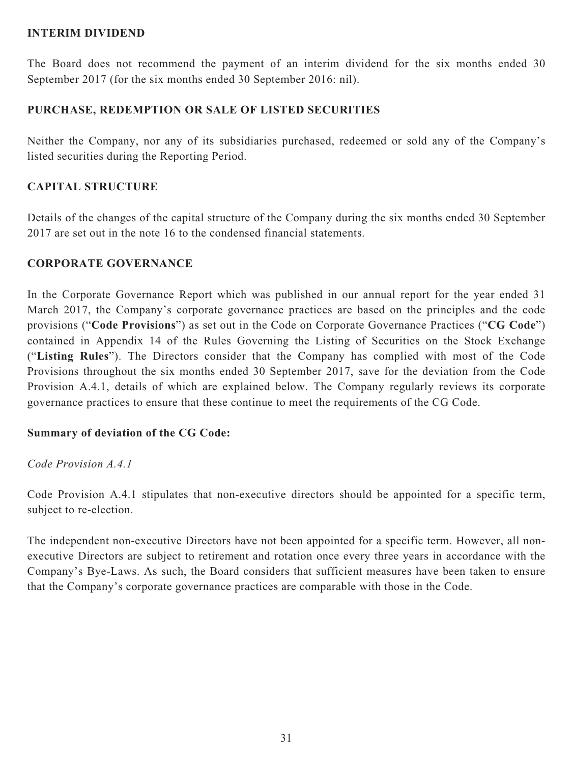### **INTERIM DIVIDEND**

The Board does not recommend the payment of an interim dividend for the six months ended 30 September 2017 (for the six months ended 30 September 2016: nil).

## **PURCHASE, REDEMPTION OR SALE OF LISTED SECURITIES**

Neither the Company, nor any of its subsidiaries purchased, redeemed or sold any of the Company's listed securities during the Reporting Period.

## **CAPITAL STRUCTURE**

Details of the changes of the capital structure of the Company during the six months ended 30 September 2017 are set out in the note 16 to the condensed financial statements.

## **CORPORATE GOVERNANCE**

In the Corporate Governance Report which was published in our annual report for the year ended 31 March 2017, the Company's corporate governance practices are based on the principles and the code provisions ("**Code Provisions**") as set out in the Code on Corporate Governance Practices ("**CG Code**") contained in Appendix 14 of the Rules Governing the Listing of Securities on the Stock Exchange ("**Listing Rules**"). The Directors consider that the Company has complied with most of the Code Provisions throughout the six months ended 30 September 2017, save for the deviation from the Code Provision A.4.1, details of which are explained below. The Company regularly reviews its corporate governance practices to ensure that these continue to meet the requirements of the CG Code.

## **Summary of deviation of the CG Code:**

*Code Provision A.4.1*

Code Provision A.4.1 stipulates that non-executive directors should be appointed for a specific term, subject to re-election.

The independent non-executive Directors have not been appointed for a specific term. However, all nonexecutive Directors are subject to retirement and rotation once every three years in accordance with the Company's Bye-Laws. As such, the Board considers that sufficient measures have been taken to ensure that the Company's corporate governance practices are comparable with those in the Code.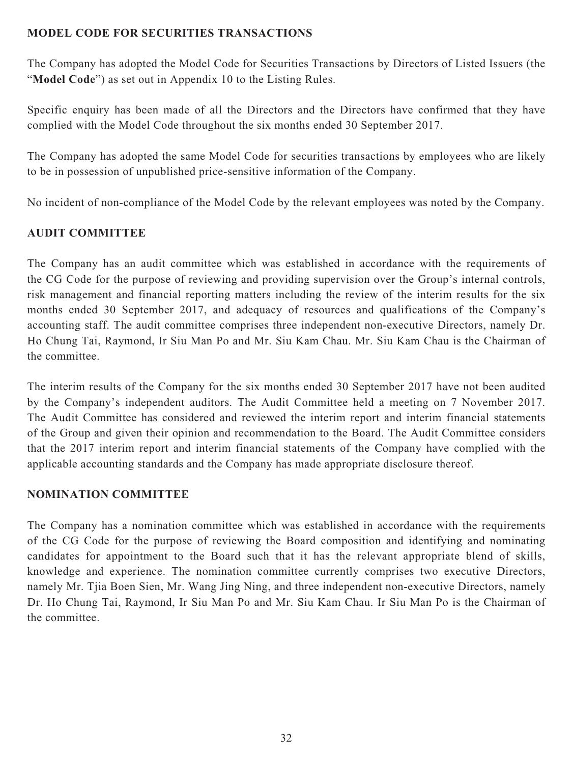## **MODEL CODE FOR SECURITIES TRANSACTIONS**

The Company has adopted the Model Code for Securities Transactions by Directors of Listed Issuers (the "**Model Code**") as set out in Appendix 10 to the Listing Rules.

Specific enquiry has been made of all the Directors and the Directors have confirmed that they have complied with the Model Code throughout the six months ended 30 September 2017.

The Company has adopted the same Model Code for securities transactions by employees who are likely to be in possession of unpublished price-sensitive information of the Company.

No incident of non-compliance of the Model Code by the relevant employees was noted by the Company.

## **AUDIT COMMITTEE**

The Company has an audit committee which was established in accordance with the requirements of the CG Code for the purpose of reviewing and providing supervision over the Group's internal controls, risk management and financial reporting matters including the review of the interim results for the six months ended 30 September 2017, and adequacy of resources and qualifications of the Company's accounting staff. The audit committee comprises three independent non-executive Directors, namely Dr. Ho Chung Tai, Raymond, Ir Siu Man Po and Mr. Siu Kam Chau. Mr. Siu Kam Chau is the Chairman of the committee.

The interim results of the Company for the six months ended 30 September 2017 have not been audited by the Company's independent auditors. The Audit Committee held a meeting on 7 November 2017. The Audit Committee has considered and reviewed the interim report and interim financial statements of the Group and given their opinion and recommendation to the Board. The Audit Committee considers that the 2017 interim report and interim financial statements of the Company have complied with the applicable accounting standards and the Company has made appropriate disclosure thereof.

## **NOMINATION COMMITTEE**

The Company has a nomination committee which was established in accordance with the requirements of the CG Code for the purpose of reviewing the Board composition and identifying and nominating candidates for appointment to the Board such that it has the relevant appropriate blend of skills, knowledge and experience. The nomination committee currently comprises two executive Directors, namely Mr. Tjia Boen Sien, Mr. Wang Jing Ning, and three independent non-executive Directors, namely Dr. Ho Chung Tai, Raymond, Ir Siu Man Po and Mr. Siu Kam Chau. Ir Siu Man Po is the Chairman of the committee.